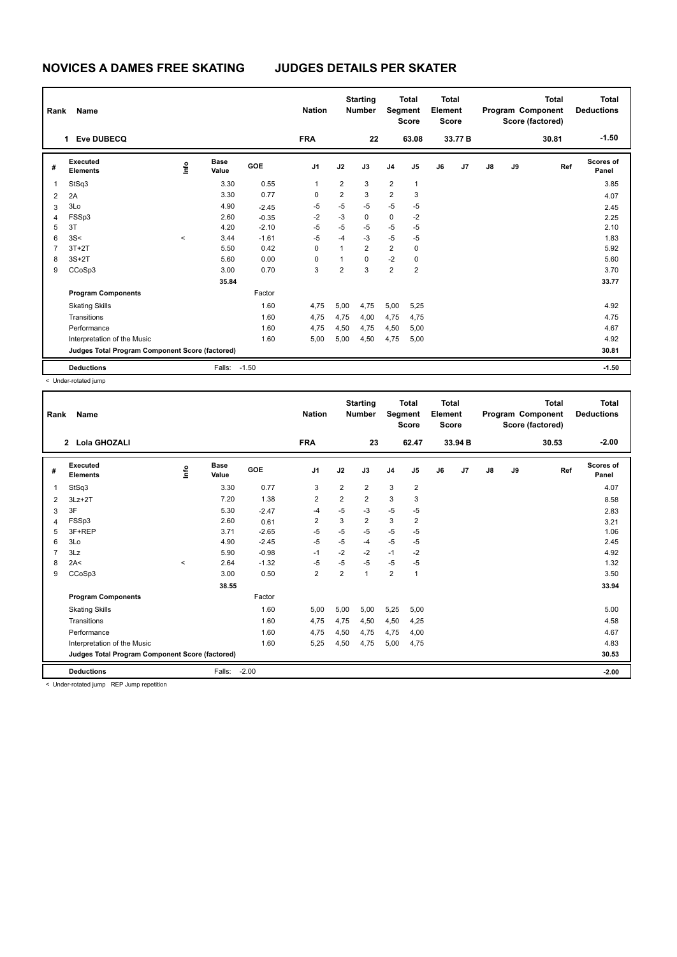| Rank           | Name                                            |         |                      | <b>Nation</b> |                | <b>Starting</b><br><b>Number</b> | Segment        | <b>Total</b><br><b>Score</b> | <b>Total</b><br>Element<br><b>Score</b> |    |                |               | <b>Total</b><br>Program Component<br>Score (factored) | Total<br><b>Deductions</b> |                    |
|----------------|-------------------------------------------------|---------|----------------------|---------------|----------------|----------------------------------|----------------|------------------------------|-----------------------------------------|----|----------------|---------------|-------------------------------------------------------|----------------------------|--------------------|
|                | Eve DUBECQ<br>1                                 |         |                      |               | <b>FRA</b>     |                                  | 22             |                              | 63.08                                   |    | 33.77 B        |               |                                                       | 30.81                      | $-1.50$            |
| #              | Executed<br><b>Elements</b>                     | ١nf٥    | <b>Base</b><br>Value | GOE           | J <sub>1</sub> | J2                               | J3             | J <sub>4</sub>               | J <sub>5</sub>                          | J6 | J <sub>7</sub> | $\mathsf{J}8$ | J9                                                    | Ref                        | Scores of<br>Panel |
| 1              | StSq3                                           |         | 3.30                 | 0.55          | 1              | $\overline{\mathbf{c}}$          | 3              | $\overline{2}$               | $\mathbf{1}$                            |    |                |               |                                                       |                            | 3.85               |
| $\overline{2}$ | 2A                                              |         | 3.30                 | 0.77          | 0              | $\overline{\mathbf{c}}$          | 3              | $\overline{2}$               | 3                                       |    |                |               |                                                       |                            | 4.07               |
| 3              | 3Lo                                             |         | 4.90                 | $-2.45$       | $-5$           | $-5$                             | $-5$           | $-5$                         | $-5$                                    |    |                |               |                                                       |                            | 2.45               |
| 4              | FSSp3                                           |         | 2.60                 | $-0.35$       | $-2$           | $-3$                             | 0              | $\pmb{0}$                    | $-2$                                    |    |                |               |                                                       |                            | 2.25               |
| 5              | 3T                                              |         | 4.20                 | $-2.10$       | $-5$           | $-5$                             | $-5$           | $-5$                         | $-5$                                    |    |                |               |                                                       |                            | 2.10               |
| 6              | 3S<                                             | $\prec$ | 3.44                 | $-1.61$       | $-5$           | $-4$                             | $-3$           | $-5$                         | $-5$                                    |    |                |               |                                                       |                            | 1.83               |
| 7              | $3T+2T$                                         |         | 5.50                 | 0.42          | 0              | 1                                | $\overline{2}$ | $\overline{2}$               | 0                                       |    |                |               |                                                       |                            | 5.92               |
| 8              | $3S+2T$                                         |         | 5.60                 | 0.00          | 0              | 1                                | $\Omega$       | $-2$                         | 0                                       |    |                |               |                                                       |                            | 5.60               |
| 9              | CCoSp3                                          |         | 3.00                 | 0.70          | 3              | $\overline{2}$                   | 3              | $\overline{2}$               | 2                                       |    |                |               |                                                       |                            | 3.70               |
|                |                                                 |         | 35.84                |               |                |                                  |                |                              |                                         |    |                |               |                                                       |                            | 33.77              |
|                | <b>Program Components</b>                       |         |                      | Factor        |                |                                  |                |                              |                                         |    |                |               |                                                       |                            |                    |
|                | <b>Skating Skills</b>                           |         |                      | 1.60          | 4,75           | 5,00                             | 4,75           | 5,00                         | 5,25                                    |    |                |               |                                                       |                            | 4.92               |
|                | Transitions                                     |         |                      | 1.60          | 4,75           | 4,75                             | 4,00           | 4,75                         | 4,75                                    |    |                |               |                                                       |                            | 4.75               |
|                | Performance                                     |         |                      | 1.60          | 4,75           | 4,50                             | 4,75           | 4,50                         | 5,00                                    |    |                |               |                                                       |                            | 4.67               |
|                | Interpretation of the Music                     |         |                      | 1.60          | 5,00           | 5,00                             | 4,50           | 4,75                         | 5,00                                    |    |                |               |                                                       |                            | 4.92               |
|                | Judges Total Program Component Score (factored) |         |                      |               |                |                                  |                |                              |                                         |    |                |               |                                                       |                            | 30.81              |
|                | <b>Deductions</b>                               |         | Falls:               | $-1.50$       |                |                                  |                |                              |                                         |    |                |               |                                                       |                            | $-1.50$            |

< Under-rotated jump

| Rank           | <b>Name</b>                                                                                                                                                                                                                                                                                                                      |         |                      |         | <b>Nation</b>  |                | <b>Starting</b><br><b>Number</b> | Segment        | <b>Total</b><br><b>Score</b> | <b>Total</b><br>Element<br><b>Score</b> |                |               |    | <b>Total</b><br>Program Component<br>Score (factored) | <b>Total</b><br><b>Deductions</b> |
|----------------|----------------------------------------------------------------------------------------------------------------------------------------------------------------------------------------------------------------------------------------------------------------------------------------------------------------------------------|---------|----------------------|---------|----------------|----------------|----------------------------------|----------------|------------------------------|-----------------------------------------|----------------|---------------|----|-------------------------------------------------------|-----------------------------------|
|                | Lola GHOZALI<br>$\overline{2}$                                                                                                                                                                                                                                                                                                   |         |                      |         | <b>FRA</b>     |                | 23                               |                | 62.47                        |                                         | 33.94 B        |               |    | 30.53                                                 | $-2.00$                           |
| #              | Executed<br><b>Elements</b>                                                                                                                                                                                                                                                                                                      | ۴ů      | <b>Base</b><br>Value | GOE     | J <sub>1</sub> | J2             | J3                               | J <sub>4</sub> | J5                           | J6                                      | J <sub>7</sub> | $\mathsf{J}8$ | J9 | Ref                                                   | <b>Scores of</b><br>Panel         |
| 1              | StSq3                                                                                                                                                                                                                                                                                                                            |         | 3.30                 | 0.77    | 3              | $\overline{2}$ | $\overline{2}$                   | 3              | $\overline{\mathbf{c}}$      |                                         |                |               |    |                                                       | 4.07                              |
| $\overline{2}$ | $3Lz + 2T$                                                                                                                                                                                                                                                                                                                       |         | 7.20                 | 1.38    | $\overline{2}$ | $\overline{2}$ | $\overline{2}$                   | 3              | 3                            |                                         |                |               |    |                                                       | 8.58                              |
| 3              | 3F                                                                                                                                                                                                                                                                                                                               |         | 5.30                 | $-2.47$ | $-4$           | $-5$           | -3                               | $-5$           | $-5$                         |                                         |                |               |    |                                                       | 2.83                              |
| 4              | FSSp3                                                                                                                                                                                                                                                                                                                            |         | 2.60                 | 0.61    | $\overline{2}$ | 3              | $\overline{2}$                   | 3              | $\overline{2}$               |                                         |                |               |    |                                                       | 3.21                              |
| 5              | 3F+REP                                                                                                                                                                                                                                                                                                                           |         | 3.71                 | $-2.65$ | $-5$           | $-5$           | $-5$                             | -5             | $-5$                         |                                         |                |               |    |                                                       | 1.06                              |
| 6              | 3Lo                                                                                                                                                                                                                                                                                                                              |         | 4.90                 | $-2.45$ | $-5$           | $-5$           | $-4$                             | $-5$           | $-5$                         |                                         |                |               |    |                                                       | 2.45                              |
| $\overline{7}$ | 3Lz                                                                                                                                                                                                                                                                                                                              |         | 5.90                 | $-0.98$ | $-1$           | $-2$           | $-2$                             | $-1$           | $-2$                         |                                         |                |               |    |                                                       | 4.92                              |
| 8              | 2A<                                                                                                                                                                                                                                                                                                                              | $\prec$ | 2.64                 | $-1.32$ | $-5$           | $-5$           | $-5$                             | $-5$           | $-5$                         |                                         |                |               |    |                                                       | 1.32                              |
| 9              | CCoSp3                                                                                                                                                                                                                                                                                                                           |         | 3.00                 | 0.50    | $\overline{2}$ | $\overline{2}$ | $\mathbf 1$                      | $\overline{2}$ | -1                           |                                         |                |               |    |                                                       | 3.50                              |
|                |                                                                                                                                                                                                                                                                                                                                  |         | 38.55                |         |                |                |                                  |                |                              |                                         |                |               |    |                                                       | 33.94                             |
|                | <b>Program Components</b>                                                                                                                                                                                                                                                                                                        |         |                      | Factor  |                |                |                                  |                |                              |                                         |                |               |    |                                                       |                                   |
|                | <b>Skating Skills</b>                                                                                                                                                                                                                                                                                                            |         |                      | 1.60    | 5,00           | 5,00           | 5,00                             | 5,25           | 5,00                         |                                         |                |               |    |                                                       | 5.00                              |
|                | Transitions                                                                                                                                                                                                                                                                                                                      |         |                      | 1.60    | 4,75           | 4,75           | 4,50                             | 4,50           | 4,25                         |                                         |                |               |    |                                                       | 4.58                              |
|                | Performance                                                                                                                                                                                                                                                                                                                      |         |                      | 1.60    | 4,75           | 4,50           | 4,75                             | 4,75           | 4,00                         |                                         |                |               |    |                                                       | 4.67                              |
|                | Interpretation of the Music                                                                                                                                                                                                                                                                                                      |         |                      | 1.60    | 5,25           | 4,50           | 4,75                             | 5,00           | 4,75                         |                                         |                |               |    |                                                       | 4.83                              |
|                | Judges Total Program Component Score (factored)                                                                                                                                                                                                                                                                                  |         |                      |         |                |                |                                  |                |                              |                                         |                |               |    |                                                       | 30.53                             |
|                | <b>Deductions</b><br>$\mathbf{r}$ , $\mathbf{r}$ , $\mathbf{r}$ , $\mathbf{r}$ , $\mathbf{r}$ , $\mathbf{r}$ , $\mathbf{r}$ , $\mathbf{r}$ , $\mathbf{r}$ , $\mathbf{r}$ , $\mathbf{r}$ , $\mathbf{r}$ , $\mathbf{r}$ , $\mathbf{r}$ , $\mathbf{r}$ , $\mathbf{r}$ , $\mathbf{r}$ , $\mathbf{r}$ , $\mathbf{r}$ , $\mathbf{r}$ , |         | Falls:               | $-2.00$ |                |                |                                  |                |                              |                                         |                |               |    |                                                       | $-2.00$                           |

< Under-rotated jump REP Jump repetition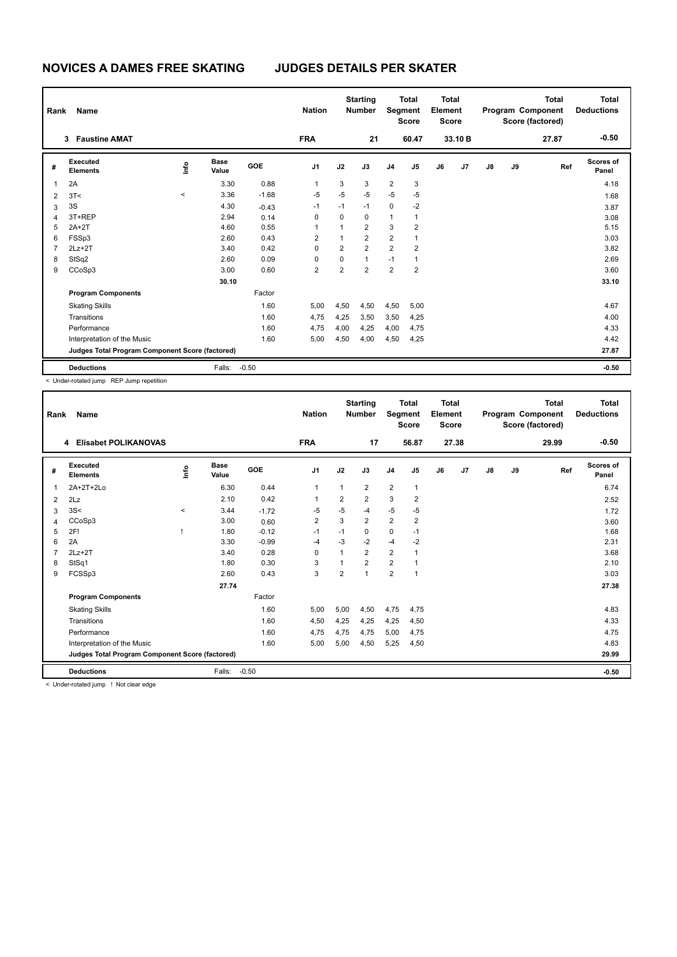| Rank | Name<br><b>Faustine AMAT</b><br>3               |         |                      |            | <b>Nation</b>  |                | <b>Starting</b><br><b>Number</b> | Segment        | <b>Total</b><br><b>Score</b> | <b>Total</b><br>Element<br><b>Score</b> |         |    |    | Total<br>Program Component<br>Score (factored) | <b>Total</b><br><b>Deductions</b> |
|------|-------------------------------------------------|---------|----------------------|------------|----------------|----------------|----------------------------------|----------------|------------------------------|-----------------------------------------|---------|----|----|------------------------------------------------|-----------------------------------|
|      |                                                 |         |                      |            | <b>FRA</b>     |                | 21                               |                | 60.47                        |                                         | 33.10 B |    |    | 27.87                                          | $-0.50$                           |
| #    | Executed<br><b>Elements</b>                     | ١nfo    | <b>Base</b><br>Value | <b>GOE</b> | J <sub>1</sub> | J2             | J3                               | J <sub>4</sub> | J5                           | J6                                      | J7      | J8 | J9 | Ref                                            | Scores of<br>Panel                |
| 1    | 2A                                              |         | 3.30                 | 0.88       | 1              | 3              | 3                                | $\overline{2}$ | 3                            |                                         |         |    |    |                                                | 4.18                              |
| 2    | 3T<                                             | $\prec$ | 3.36                 | $-1.68$    | $-5$           | $-5$           | $-5$                             | $-5$           | $-5$                         |                                         |         |    |    |                                                | 1.68                              |
| 3    | 3S                                              |         | 4.30                 | $-0.43$    | $-1$           | $-1$           | $-1$                             | $\mathbf 0$    | $-2$                         |                                         |         |    |    |                                                | 3.87                              |
| 4    | 3T+REP                                          |         | 2.94                 | 0.14       | $\Omega$       | 0              | 0                                | 1              | 1                            |                                         |         |    |    |                                                | 3.08                              |
| 5    | $2A+2T$                                         |         | 4.60                 | 0.55       | 1              | 1              | $\overline{2}$                   | 3              | $\overline{2}$               |                                         |         |    |    |                                                | 5.15                              |
| 6    | FSSp3                                           |         | 2.60                 | 0.43       | $\overline{2}$ | 1              | $\overline{2}$                   | $\overline{2}$ | $\overline{1}$               |                                         |         |    |    |                                                | 3.03                              |
| 7    | $2Lz+2T$                                        |         | 3.40                 | 0.42       | 0              | $\overline{2}$ | $\overline{2}$                   | $\overline{2}$ | $\overline{2}$               |                                         |         |    |    |                                                | 3.82                              |
| 8    | StSq2                                           |         | 2.60                 | 0.09       | 0              | 0              | $\mathbf{1}$                     | $-1$           | $\mathbf{1}$                 |                                         |         |    |    |                                                | 2.69                              |
| 9    | CCoSp3                                          |         | 3.00                 | 0.60       | $\overline{2}$ | $\overline{2}$ | $\overline{2}$                   | $\overline{2}$ | $\overline{2}$               |                                         |         |    |    |                                                | 3.60                              |
|      |                                                 |         | 30.10                |            |                |                |                                  |                |                              |                                         |         |    |    |                                                | 33.10                             |
|      | <b>Program Components</b>                       |         |                      | Factor     |                |                |                                  |                |                              |                                         |         |    |    |                                                |                                   |
|      | <b>Skating Skills</b>                           |         |                      | 1.60       | 5,00           | 4,50           | 4,50                             | 4,50           | 5,00                         |                                         |         |    |    |                                                | 4.67                              |
|      | Transitions                                     |         |                      | 1.60       | 4,75           | 4,25           | 3,50                             | 3,50           | 4,25                         |                                         |         |    |    |                                                | 4.00                              |
|      | Performance                                     |         |                      | 1.60       | 4,75           | 4,00           | 4,25                             | 4,00           | 4,75                         |                                         |         |    |    |                                                | 4.33                              |
|      | Interpretation of the Music                     |         |                      | 1.60       | 5,00           | 4,50           | 4,00                             | 4,50           | 4,25                         |                                         |         |    |    |                                                | 4.42                              |
|      | Judges Total Program Component Score (factored) |         |                      |            |                |                |                                  |                |                              |                                         |         |    |    |                                                | 27.87                             |
|      | <b>Deductions</b>                               |         | Falls:               | $-0.50$    |                |                |                                  |                |                              |                                         |         |    |    |                                                | $-0.50$                           |

< Under-rotated jump REP Jump repetition

| Rank | Name                                            |       |                      |         | <b>Nation</b>  |                | <b>Starting</b><br><b>Number</b> | Segment        | <b>Total</b><br><b>Score</b> | <b>Total</b><br>Element<br><b>Score</b> |       |               |    | <b>Total</b><br>Program Component<br>Score (factored) | Total<br><b>Deductions</b> |
|------|-------------------------------------------------|-------|----------------------|---------|----------------|----------------|----------------------------------|----------------|------------------------------|-----------------------------------------|-------|---------------|----|-------------------------------------------------------|----------------------------|
|      | <b>Elisabet POLIKANOVAS</b><br>4                |       |                      |         | <b>FRA</b>     |                | 17                               |                | 56.87                        |                                         | 27.38 |               |    | 29.99                                                 | $-0.50$                    |
| #    | Executed<br><b>Elements</b>                     | ۴ů    | <b>Base</b><br>Value | GOE     | J <sub>1</sub> | J2             | J3                               | J <sub>4</sub> | J5                           | J6                                      | J7    | $\mathsf{J}8$ | J9 | Ref                                                   | <b>Scores of</b><br>Panel  |
| 1    | 2A+2T+2Lo                                       |       | 6.30                 | 0.44    | $\mathbf{1}$   | 1              | $\overline{2}$                   | $\overline{2}$ | 1                            |                                         |       |               |    |                                                       | 6.74                       |
| 2    | 2Lz                                             |       | 2.10                 | 0.42    | 1              | 2              | 2                                | 3              | 2                            |                                         |       |               |    |                                                       | 2.52                       |
| 3    | 3S<                                             | $\,<$ | 3.44                 | $-1.72$ | $-5$           | $-5$           | $-4$                             | $-5$           | $-5$                         |                                         |       |               |    |                                                       | 1.72                       |
| 4    | CCoSp3                                          |       | 3.00                 | 0.60    | $\overline{2}$ | 3              | $\overline{2}$                   | $\overline{2}$ | $\overline{2}$               |                                         |       |               |    |                                                       | 3.60                       |
| 5    | 2F!                                             |       | 1.80                 | $-0.12$ | $-1$           | $-1$           | 0                                | 0              | $-1$                         |                                         |       |               |    |                                                       | 1.68                       |
| 6    | 2A                                              |       | 3.30                 | $-0.99$ | $-4$           | $-3$           | $-2$                             | $-4$           | $-2$                         |                                         |       |               |    |                                                       | 2.31                       |
|      | $2Lz+2T$                                        |       | 3.40                 | 0.28    | $\Omega$       | 1              | $\overline{2}$                   | $\overline{2}$ |                              |                                         |       |               |    |                                                       | 3.68                       |
| 8    | StSq1                                           |       | 1.80                 | 0.30    | 3              | $\overline{1}$ | $\overline{2}$                   | $\overline{2}$ | 1                            |                                         |       |               |    |                                                       | 2.10                       |
| 9    | FCSSp3                                          |       | 2.60                 | 0.43    | 3              | $\overline{2}$ | $\overline{1}$                   | $\overline{2}$ | 1                            |                                         |       |               |    |                                                       | 3.03                       |
|      |                                                 |       | 27.74                |         |                |                |                                  |                |                              |                                         |       |               |    |                                                       | 27.38                      |
|      | <b>Program Components</b>                       |       |                      | Factor  |                |                |                                  |                |                              |                                         |       |               |    |                                                       |                            |
|      | <b>Skating Skills</b>                           |       |                      | 1.60    | 5,00           | 5,00           | 4,50                             | 4,75           | 4,75                         |                                         |       |               |    |                                                       | 4.83                       |
|      | Transitions                                     |       |                      | 1.60    | 4,50           | 4,25           | 4.25                             | 4,25           | 4,50                         |                                         |       |               |    |                                                       | 4.33                       |
|      | Performance                                     |       |                      | 1.60    | 4,75           | 4,75           | 4,75                             | 5,00           | 4,75                         |                                         |       |               |    |                                                       | 4.75                       |
|      | Interpretation of the Music                     |       |                      | 1.60    | 5,00           | 5,00           | 4,50                             | 5,25           | 4,50                         |                                         |       |               |    |                                                       | 4.83                       |
|      | Judges Total Program Component Score (factored) |       |                      |         |                |                |                                  |                |                              |                                         |       |               |    |                                                       | 29.99                      |
|      | <b>Deductions</b>                               |       | Falls:               | $-0.50$ |                |                |                                  |                |                              |                                         |       |               |    |                                                       | $-0.50$                    |

< Under-rotated jump ! Not clear edge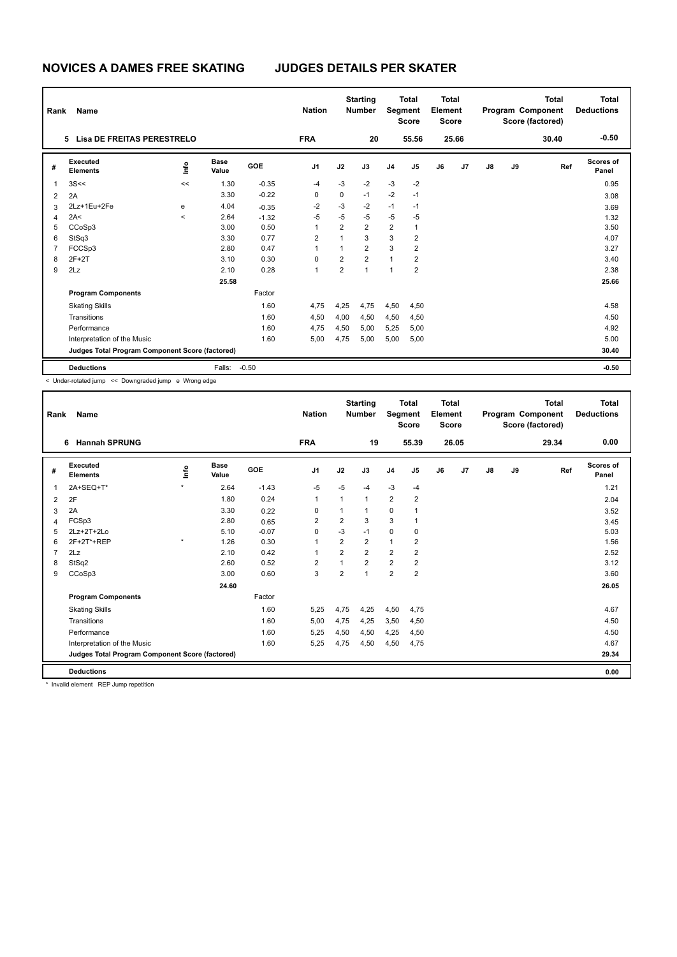| Rank           | Name                                            |            |                      |         | <b>Nation</b>  |                | <b>Starting</b><br><b>Number</b> | Segment                 | <b>Total</b><br><b>Score</b> | <b>Total</b><br>Element<br><b>Score</b> |       |    |    | <b>Total</b><br>Program Component<br>Score (factored) | <b>Total</b><br><b>Deductions</b> |
|----------------|-------------------------------------------------|------------|----------------------|---------|----------------|----------------|----------------------------------|-------------------------|------------------------------|-----------------------------------------|-------|----|----|-------------------------------------------------------|-----------------------------------|
|                | <b>Lisa DE FREITAS PERESTRELO</b><br>5          |            |                      |         | <b>FRA</b>     |                | 20                               |                         | 55.56                        |                                         | 25.66 |    |    | 30.40                                                 | $-0.50$                           |
| #              | Executed<br><b>Elements</b>                     | e          | <b>Base</b><br>Value | GOE     | J <sub>1</sub> | J2             | J3                               | J <sub>4</sub>          | J5                           | J6                                      | J7    | J8 | J9 | Ref                                                   | Scores of<br>Panel                |
| 1              | 3S<<                                            | <<         | 1.30                 | $-0.35$ | $-4$           | $-3$           | $-2$                             | $-3$                    | $-2$                         |                                         |       |    |    |                                                       | 0.95                              |
| $\overline{2}$ | 2A                                              |            | 3.30                 | $-0.22$ | 0              | 0              | $-1$                             | $-2$                    | $-1$                         |                                         |       |    |    |                                                       | 3.08                              |
| 3              | 2Lz+1Eu+2Fe                                     | e          | 4.04                 | $-0.35$ | $-2$           | $-3$           | $-2$                             | $-1$                    | $-1$                         |                                         |       |    |    |                                                       | 3.69                              |
| 4              | 2A<                                             | $\epsilon$ | 2.64                 | $-1.32$ | $-5$           | $-5$           | $-5$                             | $-5$                    | $-5$                         |                                         |       |    |    |                                                       | 1.32                              |
| 5              | CCoSp3                                          |            | 3.00                 | 0.50    | 1              | $\overline{2}$ | $\overline{2}$                   | $\overline{\mathbf{c}}$ | 1                            |                                         |       |    |    |                                                       | 3.50                              |
| 6              | StSq3                                           |            | 3.30                 | 0.77    | $\overline{2}$ | $\mathbf 1$    | 3                                | 3                       | 2                            |                                         |       |    |    |                                                       | 4.07                              |
| $\overline{7}$ | FCCSp3                                          |            | 2.80                 | 0.47    | 1              | $\mathbf{1}$   | $\overline{2}$                   | 3                       | $\overline{2}$               |                                         |       |    |    |                                                       | 3.27                              |
| 8              | $2F+2T$                                         |            | 3.10                 | 0.30    | $\Omega$       | $\overline{2}$ | $\overline{2}$                   | $\mathbf{1}$            | 2                            |                                         |       |    |    |                                                       | 3.40                              |
| 9              | 2Lz                                             |            | 2.10                 | 0.28    | 1              | $\overline{2}$ | $\overline{1}$                   | 1                       | $\overline{2}$               |                                         |       |    |    |                                                       | 2.38                              |
|                |                                                 |            | 25.58                |         |                |                |                                  |                         |                              |                                         |       |    |    |                                                       | 25.66                             |
|                | <b>Program Components</b>                       |            |                      | Factor  |                |                |                                  |                         |                              |                                         |       |    |    |                                                       |                                   |
|                | <b>Skating Skills</b>                           |            |                      | 1.60    | 4,75           | 4,25           | 4,75                             | 4,50                    | 4.50                         |                                         |       |    |    |                                                       | 4.58                              |
|                | Transitions                                     |            |                      | 1.60    | 4,50           | 4,00           | 4,50                             | 4,50                    | 4,50                         |                                         |       |    |    |                                                       | 4.50                              |
|                | Performance                                     |            |                      | 1.60    | 4,75           | 4,50           | 5,00                             | 5,25                    | 5,00                         |                                         |       |    |    |                                                       | 4.92                              |
|                | Interpretation of the Music                     |            |                      | 1.60    | 5,00           | 4,75           | 5,00                             | 5,00                    | 5,00                         |                                         |       |    |    |                                                       | 5.00                              |
|                | Judges Total Program Component Score (factored) |            |                      |         |                |                |                                  |                         |                              |                                         |       |    |    |                                                       | 30.40                             |
|                | <b>Deductions</b>                               |            | Falls:               | $-0.50$ |                |                |                                  |                         |                              |                                         |       |    |    |                                                       | $-0.50$                           |

< Under-rotated jump << Downgraded jump e Wrong edge

| Rank | Name                                            |         |                      |            | <b>Nation</b>  |                | <b>Starting</b><br><b>Number</b> | Segment        | <b>Total</b><br><b>Score</b> | <b>Total</b><br>Element<br><b>Score</b> |       |               |    | <b>Total</b><br>Program Component<br>Score (factored) | Total<br><b>Deductions</b> |
|------|-------------------------------------------------|---------|----------------------|------------|----------------|----------------|----------------------------------|----------------|------------------------------|-----------------------------------------|-------|---------------|----|-------------------------------------------------------|----------------------------|
|      | <b>Hannah SPRUNG</b><br>6                       |         |                      |            | <b>FRA</b>     |                | 19                               |                | 55.39                        |                                         | 26.05 |               |    | 29.34                                                 | 0.00                       |
| #    | <b>Executed</b><br><b>Elements</b>              | lnfo    | <b>Base</b><br>Value | <b>GOE</b> | J <sub>1</sub> | J2             | J3                               | J <sub>4</sub> | J <sub>5</sub>               | J6                                      | J7    | $\mathsf{J}8$ | J9 | Ref                                                   | Scores of<br>Panel         |
| 1    | 2A+SEQ+T*                                       | $\star$ | 2.64                 | $-1.43$    | $-5$           | $-5$           | $-4$                             | $-3$           | $-4$                         |                                         |       |               |    |                                                       | 1.21                       |
| 2    | 2F                                              |         | 1.80                 | 0.24       | $\mathbf{1}$   | 1              | $\mathbf{1}$                     | $\overline{2}$ | 2                            |                                         |       |               |    |                                                       | 2.04                       |
| 3    | 2A                                              |         | 3.30                 | 0.22       | 0              | 1              |                                  | $\mathbf 0$    | 1                            |                                         |       |               |    |                                                       | 3.52                       |
| 4    | FCSp3                                           |         | 2.80                 | 0.65       | $\overline{2}$ | 2              | 3                                | 3              | 1                            |                                         |       |               |    |                                                       | 3.45                       |
| 5    | 2Lz+2T+2Lo                                      |         | 5.10                 | $-0.07$    | 0              | $-3$           | $-1$                             | $\mathbf 0$    | 0                            |                                         |       |               |    |                                                       | 5.03                       |
| 6    | 2F+2T*+REP                                      | $\star$ | 1.26                 | 0.30       | $\mathbf 1$    | $\overline{2}$ | $\overline{2}$                   | $\mathbf{1}$   | 2                            |                                         |       |               |    |                                                       | 1.56                       |
| 7    | 2Lz                                             |         | 2.10                 | 0.42       | 1              | $\overline{2}$ | $\overline{2}$                   | $\overline{2}$ | $\overline{2}$               |                                         |       |               |    |                                                       | 2.52                       |
| 8    | StSq2                                           |         | 2.60                 | 0.52       | 2              | 1              | $\overline{2}$                   | $\overline{2}$ | $\overline{2}$               |                                         |       |               |    |                                                       | 3.12                       |
| 9    | CCoSp3                                          |         | 3.00                 | 0.60       | 3              | $\overline{2}$ | $\overline{1}$                   | $\overline{2}$ | $\overline{2}$               |                                         |       |               |    |                                                       | 3.60                       |
|      |                                                 |         | 24.60                |            |                |                |                                  |                |                              |                                         |       |               |    |                                                       | 26.05                      |
|      | <b>Program Components</b>                       |         |                      | Factor     |                |                |                                  |                |                              |                                         |       |               |    |                                                       |                            |
|      | <b>Skating Skills</b>                           |         |                      | 1.60       | 5,25           | 4,75           | 4,25                             | 4,50           | 4,75                         |                                         |       |               |    |                                                       | 4.67                       |
|      | Transitions                                     |         |                      | 1.60       | 5,00           | 4,75           | 4,25                             | 3,50           | 4,50                         |                                         |       |               |    |                                                       | 4.50                       |
|      | Performance                                     |         |                      | 1.60       | 5,25           | 4,50           | 4,50                             | 4,25           | 4,50                         |                                         |       |               |    |                                                       | 4.50                       |
|      | Interpretation of the Music                     |         |                      | 1.60       | 5,25           | 4,75           | 4,50                             | 4,50           | 4,75                         |                                         |       |               |    |                                                       | 4.67                       |
|      | Judges Total Program Component Score (factored) |         |                      |            |                |                |                                  |                |                              |                                         |       |               |    |                                                       | 29.34                      |
|      | <b>Deductions</b>                               |         |                      |            |                |                |                                  |                |                              |                                         |       |               |    |                                                       | 0.00                       |

\* Invalid element REP Jump repetition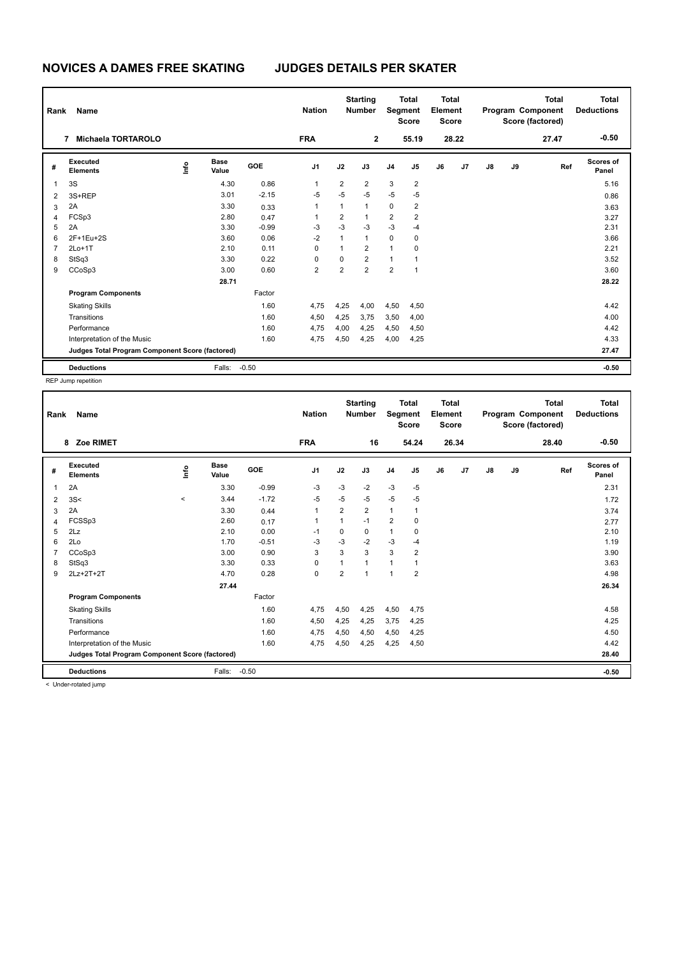| Rank                    | Name<br>7                                       |                                  |                      |            | <b>Nation</b>  |                | <b>Starting</b><br><b>Number</b> | Segment        | <b>Total</b><br><b>Score</b> | Total<br>Element<br><b>Score</b> |       |    |    | Total<br>Program Component<br>Score (factored) | <b>Total</b><br><b>Deductions</b> |
|-------------------------|-------------------------------------------------|----------------------------------|----------------------|------------|----------------|----------------|----------------------------------|----------------|------------------------------|----------------------------------|-------|----|----|------------------------------------------------|-----------------------------------|
|                         | Michaela TORTAROLO                              |                                  |                      |            | <b>FRA</b>     |                | $\mathbf 2$                      |                | 55.19                        |                                  | 28.22 |    |    | 27.47                                          | $-0.50$                           |
| #                       | Executed<br><b>Elements</b>                     | $\mathop{\mathsf{Irr}}\nolimits$ | <b>Base</b><br>Value | <b>GOE</b> | J <sub>1</sub> | J2             | J3                               | J <sub>4</sub> | J5                           | J6                               | J7    | J8 | J9 | Ref                                            | Scores of<br>Panel                |
| $\overline{\mathbf{1}}$ | 3S                                              |                                  | 4.30                 | 0.86       | 1              | $\overline{2}$ | $\overline{2}$                   | 3              | $\overline{2}$               |                                  |       |    |    |                                                | 5.16                              |
| $\overline{2}$          | 3S+REP                                          |                                  | 3.01                 | $-2.15$    | $-5$           | $-5$           | $-5$                             | $-5$           | $-5$                         |                                  |       |    |    |                                                | 0.86                              |
| 3                       | 2A                                              |                                  | 3.30                 | 0.33       | 1              | 1              | $\mathbf{1}$                     | 0              | $\overline{2}$               |                                  |       |    |    |                                                | 3.63                              |
| 4                       | FCSp3                                           |                                  | 2.80                 | 0.47       | 1              | 2              | $\mathbf 1$                      | 2              | 2                            |                                  |       |    |    |                                                | 3.27                              |
| 5                       | 2A                                              |                                  | 3.30                 | $-0.99$    | $-3$           | $-3$           | $-3$                             | $-3$           | $-4$                         |                                  |       |    |    |                                                | 2.31                              |
| 6                       | 2F+1Eu+2S                                       |                                  | 3.60                 | 0.06       | $-2$           | $\mathbf{1}$   | $\mathbf{1}$                     | $\mathbf 0$    | 0                            |                                  |       |    |    |                                                | 3.66                              |
| $\overline{7}$          | $2Lo+1T$                                        |                                  | 2.10                 | 0.11       | 0              | $\overline{1}$ | $\overline{2}$                   | 1              | 0                            |                                  |       |    |    |                                                | 2.21                              |
| 8                       | StSq3                                           |                                  | 3.30                 | 0.22       | 0              | 0              | $\overline{2}$                   | $\mathbf{1}$   | $\overline{1}$               |                                  |       |    |    |                                                | 3.52                              |
| 9                       | CCoSp3                                          |                                  | 3.00                 | 0.60       | 2              | 2              | $\overline{2}$                   | $\overline{2}$ | $\overline{1}$               |                                  |       |    |    |                                                | 3.60                              |
|                         |                                                 |                                  | 28.71                |            |                |                |                                  |                |                              |                                  |       |    |    |                                                | 28.22                             |
|                         | <b>Program Components</b>                       |                                  |                      | Factor     |                |                |                                  |                |                              |                                  |       |    |    |                                                |                                   |
|                         | <b>Skating Skills</b>                           |                                  |                      | 1.60       | 4,75           | 4,25           | 4,00                             | 4,50           | 4,50                         |                                  |       |    |    |                                                | 4.42                              |
|                         | Transitions                                     |                                  |                      | 1.60       | 4,50           | 4,25           | 3,75                             | 3,50           | 4,00                         |                                  |       |    |    |                                                | 4.00                              |
|                         | Performance                                     |                                  |                      | 1.60       | 4,75           | 4,00           | 4,25                             | 4,50           | 4,50                         |                                  |       |    |    |                                                | 4.42                              |
|                         | Interpretation of the Music                     |                                  |                      | 1.60       | 4,75           | 4,50           | 4,25                             | 4,00           | 4,25                         |                                  |       |    |    |                                                | 4.33                              |
|                         | Judges Total Program Component Score (factored) |                                  |                      |            |                |                |                                  |                |                              |                                  |       |    |    |                                                | 27.47                             |
|                         | <b>Deductions</b>                               |                                  | Falls:               | $-0.50$    |                |                |                                  |                |                              |                                  |       |    |    |                                                | $-0.50$                           |

REP Jump repetition

| Rank | <b>Name</b>                                     |         |                      |            | <b>Nation</b>  |                | <b>Starting</b><br><b>Number</b> | Segment        | <b>Total</b><br><b>Score</b> | <b>Total</b><br>Element<br><b>Score</b> |                |               |    | <b>Total</b><br>Program Component<br>Score (factored) | <b>Total</b><br><b>Deductions</b> |
|------|-------------------------------------------------|---------|----------------------|------------|----------------|----------------|----------------------------------|----------------|------------------------------|-----------------------------------------|----------------|---------------|----|-------------------------------------------------------|-----------------------------------|
|      | Zoe RIMET<br>8                                  |         |                      |            | <b>FRA</b>     |                | 16                               |                | 54.24                        |                                         | 26.34          |               |    | 28.40                                                 | $-0.50$                           |
| #    | Executed<br><b>Elements</b>                     | Linfo   | <b>Base</b><br>Value | <b>GOE</b> | J <sub>1</sub> | J2             | J3                               | J <sub>4</sub> | J5                           | J6                                      | J <sub>7</sub> | $\mathsf{J}8$ | J9 | Ref                                                   | <b>Scores of</b><br>Panel         |
| 1    | 2A                                              |         | 3.30                 | $-0.99$    | -3             | $-3$           | $-2$                             | $-3$           | $-5$                         |                                         |                |               |    |                                                       | 2.31                              |
| 2    | 3S<                                             | $\prec$ | 3.44                 | $-1.72$    | -5             | $-5$           | $-5$                             | $-5$           | $-5$                         |                                         |                |               |    |                                                       | 1.72                              |
| 3    | 2A                                              |         | 3.30                 | 0.44       | $\mathbf{1}$   | $\overline{2}$ | $\overline{2}$                   | $\overline{1}$ | $\mathbf{1}$                 |                                         |                |               |    |                                                       | 3.74                              |
| 4    | FCSSp3                                          |         | 2.60                 | 0.17       | $\mathbf{1}$   | $\mathbf{1}$   | $-1$                             | $\overline{2}$ | 0                            |                                         |                |               |    |                                                       | 2.77                              |
| 5    | 2Lz                                             |         | 2.10                 | 0.00       | $-1$           | 0              | 0                                | $\mathbf{1}$   | 0                            |                                         |                |               |    |                                                       | 2.10                              |
| 6    | 2Lo                                             |         | 1.70                 | $-0.51$    | $-3$           | $-3$           | $-2$                             | $-3$           | $-4$                         |                                         |                |               |    |                                                       | 1.19                              |
| 7    | CCoSp3                                          |         | 3.00                 | 0.90       | 3              | 3              | 3                                | 3              | $\overline{\mathbf{c}}$      |                                         |                |               |    |                                                       | 3.90                              |
| 8    | StSq3                                           |         | 3.30                 | 0.33       | $\mathbf 0$    |                | 1                                | $\mathbf{1}$   | 1                            |                                         |                |               |    |                                                       | 3.63                              |
| 9    | 2Lz+2T+2T                                       |         | 4.70                 | 0.28       | 0              | $\overline{2}$ | $\mathbf{1}$                     | $\overline{1}$ | $\overline{2}$               |                                         |                |               |    |                                                       | 4.98                              |
|      |                                                 |         | 27.44                |            |                |                |                                  |                |                              |                                         |                |               |    |                                                       | 26.34                             |
|      | <b>Program Components</b>                       |         |                      | Factor     |                |                |                                  |                |                              |                                         |                |               |    |                                                       |                                   |
|      | <b>Skating Skills</b>                           |         |                      | 1.60       | 4,75           | 4,50           | 4,25                             | 4,50           | 4,75                         |                                         |                |               |    |                                                       | 4.58                              |
|      | Transitions                                     |         |                      | 1.60       | 4,50           | 4,25           | 4,25                             | 3,75           | 4,25                         |                                         |                |               |    |                                                       | 4.25                              |
|      | Performance                                     |         |                      | 1.60       | 4,75           | 4,50           | 4,50                             | 4,50           | 4,25                         |                                         |                |               |    |                                                       | 4.50                              |
|      | Interpretation of the Music                     |         |                      | 1.60       | 4,75           | 4,50           | 4,25                             | 4,25           | 4,50                         |                                         |                |               |    |                                                       | 4.42                              |
|      | Judges Total Program Component Score (factored) |         |                      |            |                |                |                                  |                |                              |                                         |                |               |    |                                                       | 28.40                             |
|      | <b>Deductions</b>                               |         | Falls:               | $-0.50$    |                |                |                                  |                |                              |                                         |                |               |    |                                                       | $-0.50$                           |

< Under-rotated jump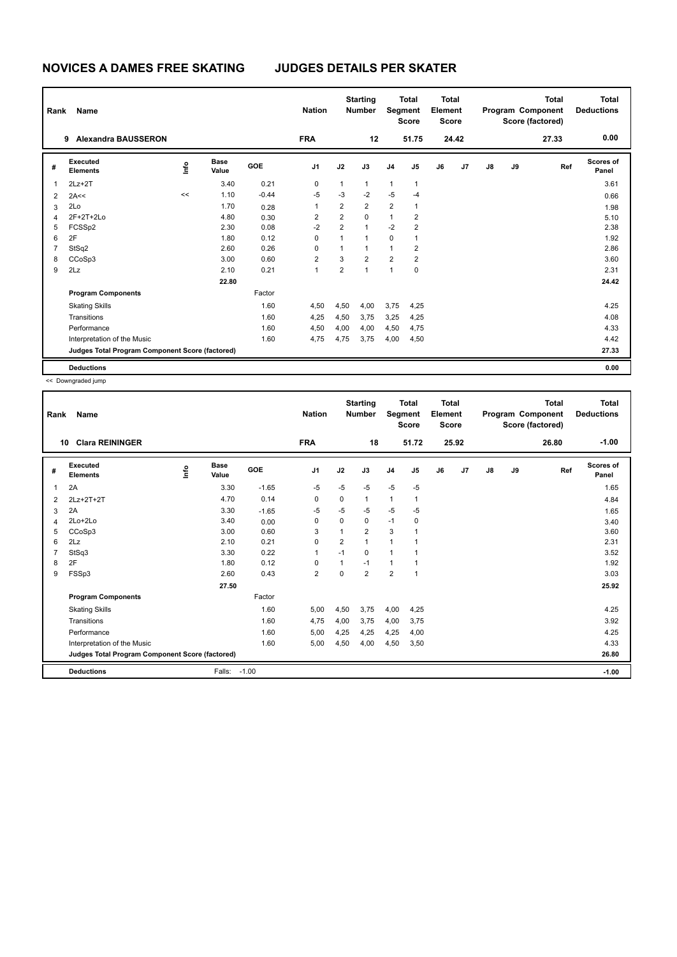| Rank           | Name<br>9                                       |                |                      |            | <b>Nation</b>           |                | <b>Starting</b><br><b>Number</b> | Segment        | <b>Total</b><br><b>Score</b> | Total<br>Element<br><b>Score</b> |       |               |    | <b>Total</b><br>Program Component<br>Score (factored) | <b>Total</b><br><b>Deductions</b> |
|----------------|-------------------------------------------------|----------------|----------------------|------------|-------------------------|----------------|----------------------------------|----------------|------------------------------|----------------------------------|-------|---------------|----|-------------------------------------------------------|-----------------------------------|
|                | <b>Alexandra BAUSSERON</b>                      |                |                      |            | <b>FRA</b>              |                | 12                               |                | 51.75                        |                                  | 24.42 |               |    | 27.33                                                 | 0.00                              |
| #              | Executed<br><b>Elements</b>                     | $\frac{6}{10}$ | <b>Base</b><br>Value | <b>GOE</b> | J <sub>1</sub>          | J2             | J3                               | J <sub>4</sub> | J <sub>5</sub>               | J6                               | J7    | $\mathsf{J}8$ | J9 | Ref                                                   | Scores of<br>Panel                |
| 1              | $2Lz+2T$                                        |                | 3.40                 | 0.21       | 0                       | $\mathbf{1}$   | $\mathbf{1}$                     | $\mathbf{1}$   | $\mathbf{1}$                 |                                  |       |               |    |                                                       | 3.61                              |
| $\overline{2}$ | 2A<<                                            | <<             | 1.10                 | $-0.44$    | $-5$                    | $-3$           | $-2$                             | $-5$           | $-4$                         |                                  |       |               |    |                                                       | 0.66                              |
| 3              | 2Lo                                             |                | 1.70                 | 0.28       | 1                       | $\overline{2}$ | $\overline{2}$                   | $\overline{2}$ | $\mathbf{1}$                 |                                  |       |               |    |                                                       | 1.98                              |
| $\overline{4}$ | 2F+2T+2Lo                                       |                | 4.80                 | 0.30       | $\overline{\mathbf{c}}$ | $\overline{2}$ | $\mathbf 0$                      | $\mathbf{1}$   | $\overline{2}$               |                                  |       |               |    |                                                       | 5.10                              |
| 5              | FCSSp2                                          |                | 2.30                 | 0.08       | $-2$                    | $\overline{2}$ | $\mathbf{1}$                     | $-2$           | $\overline{2}$               |                                  |       |               |    |                                                       | 2.38                              |
| 6              | 2F                                              |                | 1.80                 | 0.12       | 0                       | 1              | $\overline{1}$                   | 0              | 1                            |                                  |       |               |    |                                                       | 1.92                              |
| 7              | StSq2                                           |                | 2.60                 | 0.26       | 0                       | 1              | $\overline{1}$                   | 1              | 2                            |                                  |       |               |    |                                                       | 2.86                              |
| 8              | CCoSp3                                          |                | 3.00                 | 0.60       | 2                       | 3              | $\overline{2}$                   | $\overline{2}$ | $\overline{2}$               |                                  |       |               |    |                                                       | 3.60                              |
| 9              | 2Lz                                             |                | 2.10                 | 0.21       | 1                       | $\overline{2}$ | $\mathbf{1}$                     | $\mathbf{1}$   | 0                            |                                  |       |               |    |                                                       | 2.31                              |
|                |                                                 |                | 22.80                |            |                         |                |                                  |                |                              |                                  |       |               |    |                                                       | 24.42                             |
|                | <b>Program Components</b>                       |                |                      | Factor     |                         |                |                                  |                |                              |                                  |       |               |    |                                                       |                                   |
|                | <b>Skating Skills</b>                           |                |                      | 1.60       | 4,50                    | 4,50           | 4,00                             | 3,75           | 4,25                         |                                  |       |               |    |                                                       | 4.25                              |
|                | Transitions                                     |                |                      | 1.60       | 4,25                    | 4,50           | 3,75                             | 3,25           | 4,25                         |                                  |       |               |    |                                                       | 4.08                              |
|                | Performance                                     |                |                      | 1.60       | 4,50                    | 4,00           | 4,00                             | 4,50           | 4,75                         |                                  |       |               |    |                                                       | 4.33                              |
|                | Interpretation of the Music                     |                |                      | 1.60       | 4,75                    | 4,75           | 3,75                             | 4,00           | 4,50                         |                                  |       |               |    |                                                       | 4.42                              |
|                | Judges Total Program Component Score (factored) |                |                      |            |                         |                |                                  |                |                              |                                  |       |               |    |                                                       | 27.33                             |
|                | <b>Deductions</b>                               |                |                      |            |                         |                |                                  |                |                              |                                  |       |               |    |                                                       | 0.00                              |

| Rank | <b>Name</b>                                     |      |                      |         | <b>Nation</b>  |                | <b>Starting</b><br><b>Number</b> | Segment        | <b>Total</b><br><b>Score</b> | <b>Total</b><br>Element<br><b>Score</b> |       |               |    | <b>Total</b><br>Program Component<br>Score (factored) | <b>Total</b><br><b>Deductions</b> |
|------|-------------------------------------------------|------|----------------------|---------|----------------|----------------|----------------------------------|----------------|------------------------------|-----------------------------------------|-------|---------------|----|-------------------------------------------------------|-----------------------------------|
|      | <b>Clara REININGER</b><br>10                    |      |                      |         | <b>FRA</b>     |                | 18                               |                | 51.72                        |                                         | 25.92 |               |    | 26.80                                                 | $-1.00$                           |
| #    | Executed<br><b>Elements</b>                     | lnfo | <b>Base</b><br>Value | GOE     | J <sub>1</sub> | J2             | J3                               | J <sub>4</sub> | J5                           | J6                                      | J7    | $\mathsf{J}8$ | J9 | Ref                                                   | Scores of<br>Panel                |
| 1    | 2A                                              |      | 3.30                 | $-1.65$ | $-5$           | $-5$           | $-5$                             | $-5$           | $-5$                         |                                         |       |               |    |                                                       | 1.65                              |
| 2    | 2Lz+2T+2T                                       |      | 4.70                 | 0.14    | 0              | 0              | $\mathbf{1}$                     | $\mathbf{1}$   | 1                            |                                         |       |               |    |                                                       | 4.84                              |
| 3    | 2A                                              |      | 3.30                 | $-1.65$ | -5             | $-5$           | $-5$                             | $-5$           | $-5$                         |                                         |       |               |    |                                                       | 1.65                              |
| 4    | 2Lo+2Lo                                         |      | 3.40                 | 0.00    | 0              | 0              | 0                                | $-1$           | 0                            |                                         |       |               |    |                                                       | 3.40                              |
| 5    | CCoSp3                                          |      | 3.00                 | 0.60    | 3              | 1              | $\overline{2}$                   | 3              |                              |                                         |       |               |    |                                                       | 3.60                              |
| 6    | 2Lz                                             |      | 2.10                 | 0.21    | $\Omega$       | $\overline{2}$ | 1                                | $\mathbf{1}$   |                              |                                         |       |               |    |                                                       | 2.31                              |
| 7    | StSq3                                           |      | 3.30                 | 0.22    | $\mathbf{1}$   | $-1$           | $\Omega$                         | $\mathbf{1}$   |                              |                                         |       |               |    |                                                       | 3.52                              |
| 8    | 2F                                              |      | 1.80                 | 0.12    | 0              | 1              | $-1$                             | $\mathbf{1}$   |                              |                                         |       |               |    |                                                       | 1.92                              |
| 9    | FSSp3                                           |      | 2.60                 | 0.43    | $\overline{2}$ | $\Omega$       | $\overline{2}$                   | $\overline{2}$ | 1                            |                                         |       |               |    |                                                       | 3.03                              |
|      |                                                 |      | 27.50                |         |                |                |                                  |                |                              |                                         |       |               |    |                                                       | 25.92                             |
|      | <b>Program Components</b>                       |      |                      | Factor  |                |                |                                  |                |                              |                                         |       |               |    |                                                       |                                   |
|      | <b>Skating Skills</b>                           |      |                      | 1.60    | 5,00           | 4,50           | 3,75                             | 4,00           | 4,25                         |                                         |       |               |    |                                                       | 4.25                              |
|      | Transitions                                     |      |                      | 1.60    | 4,75           | 4,00           | 3,75                             | 4,00           | 3,75                         |                                         |       |               |    |                                                       | 3.92                              |
|      | Performance                                     |      |                      | 1.60    | 5,00           | 4,25           | 4,25                             | 4,25           | 4,00                         |                                         |       |               |    |                                                       | 4.25                              |
|      | Interpretation of the Music                     |      |                      | 1.60    | 5,00           | 4,50           | 4,00                             | 4,50           | 3,50                         |                                         |       |               |    |                                                       | 4.33                              |
|      | Judges Total Program Component Score (factored) |      |                      |         |                |                |                                  |                |                              |                                         |       |               |    |                                                       | 26.80                             |
|      | <b>Deductions</b>                               |      | Falls:               | $-1.00$ |                |                |                                  |                |                              |                                         |       |               |    |                                                       | $-1.00$                           |
|      |                                                 |      |                      |         |                |                |                                  |                |                              |                                         |       |               |    |                                                       |                                   |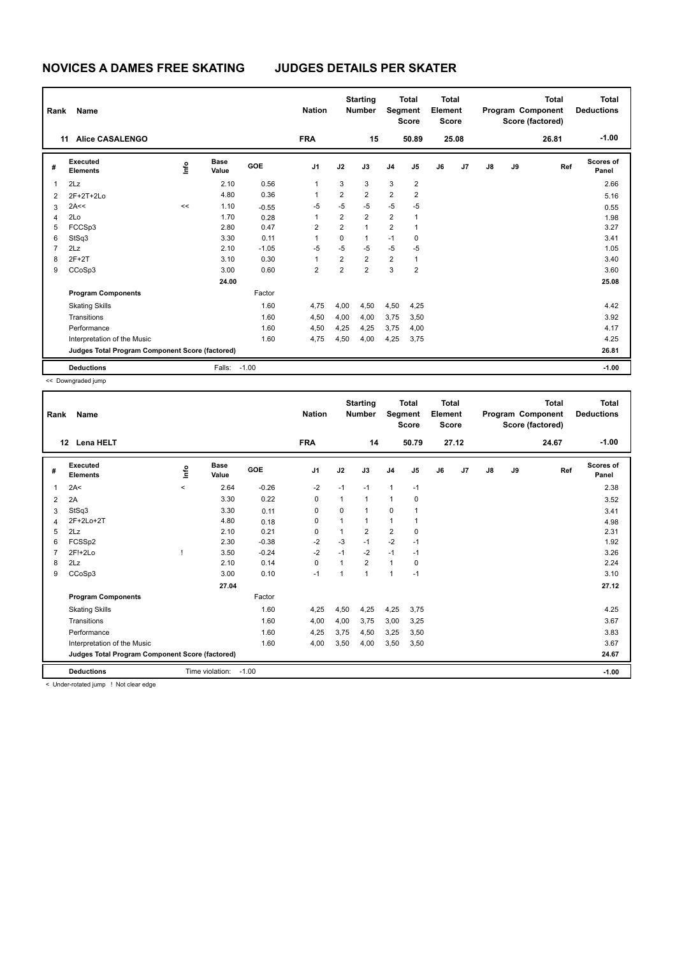| Rank                     | Name<br>11                                      |                                  |                      |            | <b>Nation</b>           |                | <b>Starting</b><br><b>Number</b> | Segment                 | <b>Total</b><br><b>Score</b> | Total<br>Element<br><b>Score</b> |       |               |    | Total<br>Program Component<br>Score (factored) | <b>Total</b><br><b>Deductions</b> |
|--------------------------|-------------------------------------------------|----------------------------------|----------------------|------------|-------------------------|----------------|----------------------------------|-------------------------|------------------------------|----------------------------------|-------|---------------|----|------------------------------------------------|-----------------------------------|
|                          | <b>Alice CASALENGO</b>                          |                                  |                      |            | <b>FRA</b>              |                | 15                               |                         | 50.89                        |                                  | 25.08 |               |    | 26.81                                          | $-1.00$                           |
| #                        | Executed<br><b>Elements</b>                     | $\mathop{\mathsf{Irr}}\nolimits$ | <b>Base</b><br>Value | <b>GOE</b> | J <sub>1</sub>          | J2             | J3                               | J <sub>4</sub>          | J5                           | J6                               | J7    | $\mathsf{J}8$ | J9 | Ref                                            | Scores of<br>Panel                |
| $\overline{\phantom{a}}$ | 2Lz                                             |                                  | 2.10                 | 0.56       | 1                       | 3              | 3                                | 3                       | $\overline{2}$               |                                  |       |               |    |                                                | 2.66                              |
| $\overline{2}$           | $2F+2T+2Lo$                                     |                                  | 4.80                 | 0.36       | 1                       | $\overline{2}$ | $\overline{2}$                   | $\overline{\mathbf{c}}$ | $\overline{2}$               |                                  |       |               |    |                                                | 5.16                              |
| 3                        | 2A<<                                            | <<                               | 1.10                 | $-0.55$    | $-5$                    | $-5$           | $-5$                             | $-5$                    | $-5$                         |                                  |       |               |    |                                                | 0.55                              |
| 4                        | 2Lo                                             |                                  | 1.70                 | 0.28       | 1                       | $\overline{2}$ | $\overline{2}$                   | $\overline{2}$          | 1                            |                                  |       |               |    |                                                | 1.98                              |
| 5                        | FCCSp3                                          |                                  | 2.80                 | 0.47       | $\overline{2}$          | $\overline{2}$ | $\overline{1}$                   | 2                       | 1                            |                                  |       |               |    |                                                | 3.27                              |
| 6                        | StSq3                                           |                                  | 3.30                 | 0.11       | 1                       | 0              | $\mathbf{1}$                     | $-1$                    | 0                            |                                  |       |               |    |                                                | 3.41                              |
| $\overline{7}$           | 2Lz                                             |                                  | 2.10                 | $-1.05$    | $-5$                    | $-5$           | $-5$                             | $-5$                    | $-5$                         |                                  |       |               |    |                                                | 1.05                              |
| 8                        | $2F+2T$                                         |                                  | 3.10                 | 0.30       | 1                       | $\overline{2}$ | $\overline{2}$                   | $\overline{2}$          | $\mathbf{1}$                 |                                  |       |               |    |                                                | 3.40                              |
| 9                        | CCoSp3                                          |                                  | 3.00                 | 0.60       | $\overline{\mathbf{c}}$ | $\overline{2}$ | $\overline{2}$                   | 3                       | $\overline{2}$               |                                  |       |               |    |                                                | 3.60                              |
|                          |                                                 |                                  | 24.00                |            |                         |                |                                  |                         |                              |                                  |       |               |    |                                                | 25.08                             |
|                          | <b>Program Components</b>                       |                                  |                      | Factor     |                         |                |                                  |                         |                              |                                  |       |               |    |                                                |                                   |
|                          | <b>Skating Skills</b>                           |                                  |                      | 1.60       | 4,75                    | 4,00           | 4,50                             | 4,50                    | 4,25                         |                                  |       |               |    |                                                | 4.42                              |
|                          | Transitions                                     |                                  |                      | 1.60       | 4,50                    | 4,00           | 4,00                             | 3,75                    | 3,50                         |                                  |       |               |    |                                                | 3.92                              |
|                          | Performance                                     |                                  |                      | 1.60       | 4,50                    | 4,25           | 4,25                             | 3,75                    | 4,00                         |                                  |       |               |    |                                                | 4.17                              |
|                          | Interpretation of the Music                     |                                  |                      | 1.60       | 4,75                    | 4,50           | 4,00                             | 4,25                    | 3,75                         |                                  |       |               |    |                                                | 4.25                              |
|                          | Judges Total Program Component Score (factored) |                                  |                      |            |                         |                |                                  |                         |                              |                                  |       |               |    |                                                | 26.81                             |
|                          | <b>Deductions</b>                               |                                  | Falls:               | $-1.00$    |                         |                |                                  |                         |                              |                                  |       |               |    |                                                | $-1.00$                           |

| Rank | <b>Name</b>                                     |         |                      |         | <b>Nation</b>  |          | <b>Starting</b><br><b>Number</b> | Segment                 | <b>Total</b><br><b>Score</b> | <b>Total</b><br>Element<br><b>Score</b> |       |               |    | <b>Total</b><br>Program Component<br>Score (factored) | <b>Total</b><br><b>Deductions</b> |
|------|-------------------------------------------------|---------|----------------------|---------|----------------|----------|----------------------------------|-------------------------|------------------------------|-----------------------------------------|-------|---------------|----|-------------------------------------------------------|-----------------------------------|
|      | <b>Lena HELT</b><br>$12 \,$                     |         |                      |         | <b>FRA</b>     |          | 14                               |                         | 50.79                        |                                         | 27.12 |               |    | 24.67                                                 | $-1.00$                           |
| #    | <b>Executed</b><br><b>Elements</b>              | lnfo    | <b>Base</b><br>Value | GOE     | J <sub>1</sub> | J2       | J3                               | J <sub>4</sub>          | J <sub>5</sub>               | J6                                      | J7    | $\mathsf{J}8$ | J9 | Ref                                                   | <b>Scores of</b><br>Panel         |
| 1    | 2A<                                             | $\prec$ | 2.64                 | $-0.26$ | $-2$           | $-1$     | $-1$                             | 1                       | $-1$                         |                                         |       |               |    |                                                       | 2.38                              |
| 2    | 2A                                              |         | 3.30                 | 0.22    | 0              | 1        | $\mathbf 1$                      | 1                       | 0                            |                                         |       |               |    |                                                       | 3.52                              |
| 3    | StSq3                                           |         | 3.30                 | 0.11    | 0              | $\Omega$ | 1                                | 0                       |                              |                                         |       |               |    |                                                       | 3.41                              |
| 4    | 2F+2Lo+2T                                       |         | 4.80                 | 0.18    | 0              | 1        | 1                                | $\mathbf{1}$            |                              |                                         |       |               |    |                                                       | 4.98                              |
| 5    | 2Lz                                             |         | 2.10                 | 0.21    | 0              | 1        | 2                                | $\overline{\mathbf{c}}$ | 0                            |                                         |       |               |    |                                                       | 2.31                              |
| 6    | FCSSp2                                          |         | 2.30                 | $-0.38$ | $-2$           | $-3$     | $-1$                             | $-2$                    | $-1$                         |                                         |       |               |    |                                                       | 1.92                              |
|      | 2F!+2Lo                                         |         | 3.50                 | $-0.24$ | $-2$           | $-1$     | $-2$                             | $-1$                    | $-1$                         |                                         |       |               |    |                                                       | 3.26                              |
| 8    | 2Lz                                             |         | 2.10                 | 0.14    | 0              | 1        | $\overline{2}$                   | $\mathbf{1}$            | 0                            |                                         |       |               |    |                                                       | 2.24                              |
| 9    | CCoSp3                                          |         | 3.00                 | 0.10    | $-1$           | 1        | 1                                | $\mathbf{1}$            | $-1$                         |                                         |       |               |    |                                                       | 3.10                              |
|      |                                                 |         | 27.04                |         |                |          |                                  |                         |                              |                                         |       |               |    |                                                       | 27.12                             |
|      | <b>Program Components</b>                       |         |                      | Factor  |                |          |                                  |                         |                              |                                         |       |               |    |                                                       |                                   |
|      | <b>Skating Skills</b>                           |         |                      | 1.60    | 4,25           | 4,50     | 4,25                             | 4,25                    | 3,75                         |                                         |       |               |    |                                                       | 4.25                              |
|      | Transitions                                     |         |                      | 1.60    | 4,00           | 4,00     | 3,75                             | 3,00                    | 3,25                         |                                         |       |               |    |                                                       | 3.67                              |
|      | Performance                                     |         |                      | 1.60    | 4,25           | 3,75     | 4,50                             | 3,25                    | 3,50                         |                                         |       |               |    |                                                       | 3.83                              |
|      | Interpretation of the Music                     |         |                      | 1.60    | 4,00           | 3,50     | 4,00                             | 3,50                    | 3,50                         |                                         |       |               |    |                                                       | 3.67                              |
|      | Judges Total Program Component Score (factored) |         |                      |         |                |          |                                  |                         |                              |                                         |       |               |    |                                                       | 24.67                             |
|      | <b>Deductions</b>                               |         | Time violation:      | $-1.00$ |                |          |                                  |                         |                              |                                         |       |               |    |                                                       | $-1.00$                           |
|      | Linder retated jump it Net along adapt          |         |                      |         |                |          |                                  |                         |                              |                                         |       |               |    |                                                       |                                   |

< Under-rotated jump ! Not clear edge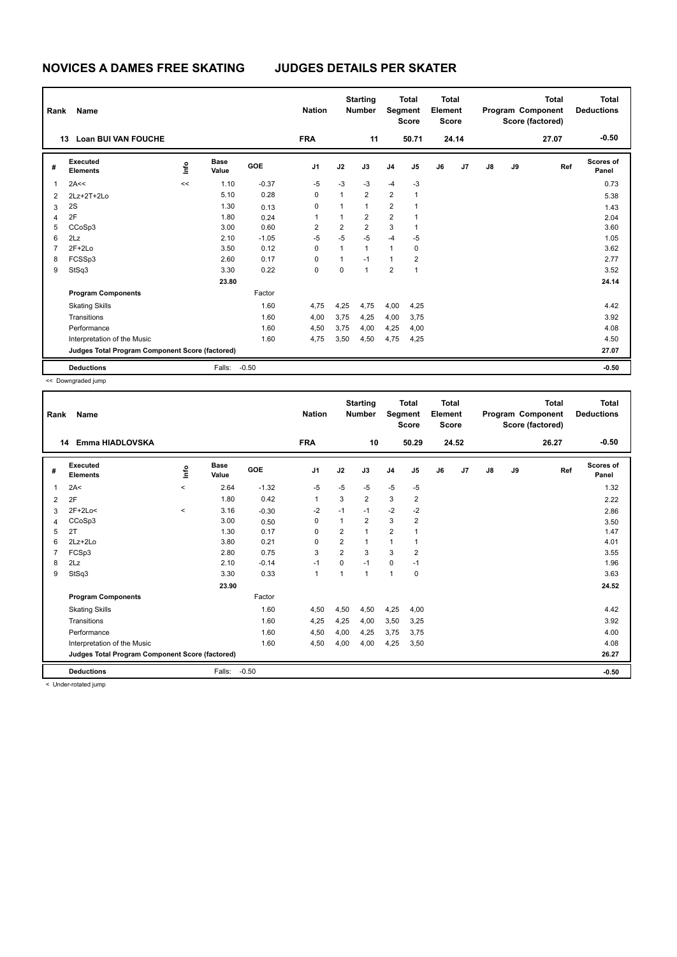| Rank           | Name                                            |                                  |                      |            | <b>Nation</b>  |                | <b>Starting</b><br><b>Number</b> | Segment        | <b>Total</b><br><b>Score</b> | <b>Total</b><br>Element<br><b>Score</b> |       |    |    | <b>Total</b><br>Program Component<br>Score (factored) | <b>Total</b><br><b>Deductions</b> |
|----------------|-------------------------------------------------|----------------------------------|----------------------|------------|----------------|----------------|----------------------------------|----------------|------------------------------|-----------------------------------------|-------|----|----|-------------------------------------------------------|-----------------------------------|
|                | <b>Loan BUI VAN FOUCHE</b><br>13                |                                  |                      |            | <b>FRA</b>     |                | 11                               |                | 50.71                        |                                         | 24.14 |    |    | 27.07                                                 | $-0.50$                           |
| #              | Executed<br><b>Elements</b>                     | $\mathop{\mathsf{Int}}\nolimits$ | <b>Base</b><br>Value | <b>GOE</b> | J <sub>1</sub> | J2             | J3                               | J <sub>4</sub> | J5                           | J6                                      | J7    | J8 | J9 | Ref                                                   | Scores of<br>Panel                |
| $\overline{1}$ | 2A<<                                            | <<                               | 1.10                 | $-0.37$    | $-5$           | $-3$           | $-3$                             | $-4$           | $-3$                         |                                         |       |    |    |                                                       | 0.73                              |
| 2              | 2Lz+2T+2Lo                                      |                                  | 5.10                 | 0.28       | 0              | $\mathbf{1}$   | $\overline{2}$                   | $\overline{2}$ | $\overline{1}$               |                                         |       |    |    |                                                       | 5.38                              |
| 3              | 2S                                              |                                  | 1.30                 | 0.13       | 0              | 1              | $\mathbf{1}$                     | $\overline{2}$ | $\overline{1}$               |                                         |       |    |    |                                                       | 1.43                              |
| 4              | 2F                                              |                                  | 1.80                 | 0.24       | 1              | 1              | $\overline{2}$                   | $\overline{2}$ | 1                            |                                         |       |    |    |                                                       | 2.04                              |
| 5              | CCoSp3                                          |                                  | 3.00                 | 0.60       | $\overline{2}$ | $\overline{2}$ | $\overline{2}$                   | 3              | 1                            |                                         |       |    |    |                                                       | 3.60                              |
| 6              | 2Lz                                             |                                  | 2.10                 | $-1.05$    | $-5$           | $-5$           | $-5$                             | $-4$           | $-5$                         |                                         |       |    |    |                                                       | 1.05                              |
| $\overline{7}$ | $2F+2Lo$                                        |                                  | 3.50                 | 0.12       | 0              | $\mathbf{1}$   | $\mathbf{1}$                     | $\mathbf{1}$   | 0                            |                                         |       |    |    |                                                       | 3.62                              |
| 8              | FCSSp3                                          |                                  | 2.60                 | 0.17       | 0              | 1              | $-1$                             | $\mathbf{1}$   | $\overline{2}$               |                                         |       |    |    |                                                       | 2.77                              |
| 9              | StSq3                                           |                                  | 3.30                 | 0.22       | 0              | 0              | $\overline{1}$                   | $\overline{2}$ | $\overline{1}$               |                                         |       |    |    |                                                       | 3.52                              |
|                |                                                 |                                  | 23.80                |            |                |                |                                  |                |                              |                                         |       |    |    |                                                       | 24.14                             |
|                | <b>Program Components</b>                       |                                  |                      | Factor     |                |                |                                  |                |                              |                                         |       |    |    |                                                       |                                   |
|                | <b>Skating Skills</b>                           |                                  |                      | 1.60       | 4,75           | 4,25           | 4,75                             | 4,00           | 4,25                         |                                         |       |    |    |                                                       | 4.42                              |
|                | Transitions                                     |                                  |                      | 1.60       | 4,00           | 3,75           | 4,25                             | 4,00           | 3,75                         |                                         |       |    |    |                                                       | 3.92                              |
|                | Performance                                     |                                  |                      | 1.60       | 4,50           | 3,75           | 4,00                             | 4,25           | 4,00                         |                                         |       |    |    |                                                       | 4.08                              |
|                | Interpretation of the Music                     |                                  |                      | 1.60       | 4,75           | 3,50           | 4,50                             | 4,75           | 4,25                         |                                         |       |    |    |                                                       | 4.50                              |
|                | Judges Total Program Component Score (factored) |                                  |                      |            |                |                |                                  |                |                              |                                         |       |    |    |                                                       | 27.07                             |
|                | <b>Deductions</b>                               |                                  | Falls:               | $-0.50$    |                |                |                                  |                |                              |                                         |       |    |    |                                                       | $-0.50$                           |

| Rank | Name                                            |         |                      |         | <b>Nation</b>  |                | <b>Starting</b><br><b>Number</b> | Segment        | <b>Total</b><br><b>Score</b> | <b>Total</b><br>Element<br><b>Score</b> |       |               |    | <b>Total</b><br>Program Component<br>Score (factored) | <b>Total</b><br><b>Deductions</b> |
|------|-------------------------------------------------|---------|----------------------|---------|----------------|----------------|----------------------------------|----------------|------------------------------|-----------------------------------------|-------|---------------|----|-------------------------------------------------------|-----------------------------------|
| 14   | Emma HIADLOVSKA                                 |         |                      |         | <b>FRA</b>     |                | 10                               |                | 50.29                        |                                         | 24.52 |               |    | 26.27                                                 | $-0.50$                           |
| #    | Executed<br><b>Elements</b>                     | Linfo   | <b>Base</b><br>Value | GOE     | J <sub>1</sub> | J2             | J3                               | J <sub>4</sub> | J <sub>5</sub>               | J6                                      | J7    | $\mathsf{J}8$ | J9 | Ref                                                   | <b>Scores of</b><br>Panel         |
| 1    | 2A<                                             | $\prec$ | 2.64                 | $-1.32$ | $-5$           | $-5$           | $-5$                             | $-5$           | $-5$                         |                                         |       |               |    |                                                       | 1.32                              |
| 2    | 2F                                              |         | 1.80                 | 0.42    | 1              | 3              | $\overline{2}$                   | 3              | 2                            |                                         |       |               |    |                                                       | 2.22                              |
| 3    | 2F+2Lo<                                         | $\,<\,$ | 3.16                 | $-0.30$ | $-2$           | $-1$           | $-1$                             | $-2$           | $-2$                         |                                         |       |               |    |                                                       | 2.86                              |
| 4    | CCoSp3                                          |         | 3.00                 | 0.50    | 0              | 1              | $\overline{2}$                   | 3              | $\overline{2}$               |                                         |       |               |    |                                                       | 3.50                              |
| 5    | 2T                                              |         | 1.30                 | 0.17    | $\Omega$       | $\overline{2}$ | 1                                | $\overline{2}$ |                              |                                         |       |               |    |                                                       | 1.47                              |
| 6    | $2Lz + 2Lo$                                     |         | 3.80                 | 0.21    | $\Omega$       | $\overline{2}$ | 1                                | $\mathbf{1}$   |                              |                                         |       |               |    |                                                       | 4.01                              |
|      | FCSp3                                           |         | 2.80                 | 0.75    | 3              | $\overline{2}$ | 3                                | 3              | 2                            |                                         |       |               |    |                                                       | 3.55                              |
| 8    | 2Lz                                             |         | 2.10                 | $-0.14$ | $-1$           | 0              | $-1$                             | 0              | $-1$                         |                                         |       |               |    |                                                       | 1.96                              |
| 9    | StSq3                                           |         | 3.30                 | 0.33    | $\mathbf{1}$   | 1              | $\overline{1}$                   | $\mathbf{1}$   | 0                            |                                         |       |               |    |                                                       | 3.63                              |
|      |                                                 |         | 23.90                |         |                |                |                                  |                |                              |                                         |       |               |    |                                                       | 24.52                             |
|      | <b>Program Components</b>                       |         |                      | Factor  |                |                |                                  |                |                              |                                         |       |               |    |                                                       |                                   |
|      | <b>Skating Skills</b>                           |         |                      | 1.60    | 4,50           | 4,50           | 4,50                             | 4,25           | 4,00                         |                                         |       |               |    |                                                       | 4.42                              |
|      | Transitions                                     |         |                      | 1.60    | 4,25           | 4,25           | 4,00                             | 3,50           | 3,25                         |                                         |       |               |    |                                                       | 3.92                              |
|      | Performance                                     |         |                      | 1.60    | 4,50           | 4,00           | 4,25                             | 3,75           | 3,75                         |                                         |       |               |    |                                                       | 4.00                              |
|      | Interpretation of the Music                     |         |                      | 1.60    | 4,50           | 4,00           | 4,00                             | 4,25           | 3,50                         |                                         |       |               |    |                                                       | 4.08                              |
|      | Judges Total Program Component Score (factored) |         |                      |         |                |                |                                  |                |                              |                                         |       |               |    |                                                       | 26.27                             |
|      | <b>Deductions</b>                               |         | Falls:               | $-0.50$ |                |                |                                  |                |                              |                                         |       |               |    |                                                       | $-0.50$                           |
|      | and the state products of forests.              |         |                      |         |                |                |                                  |                |                              |                                         |       |               |    |                                                       |                                   |

< Under-rotated jump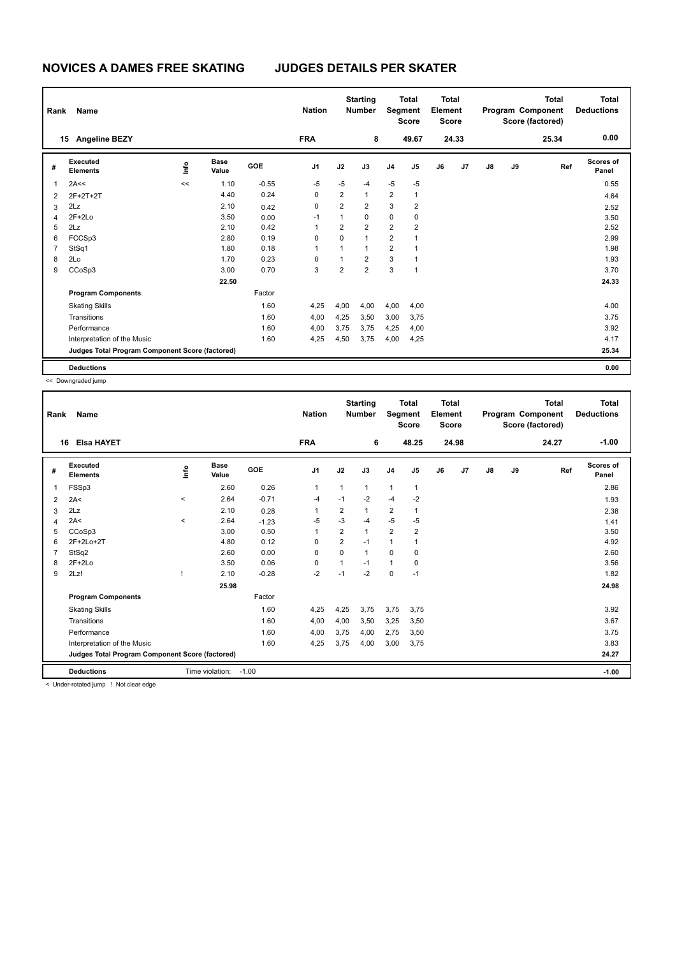| Rank           | Name                                            |      |                      |            | <b>Nation</b>  |                | <b>Starting</b><br><b>Number</b> |                         | <b>Total</b><br>Segment<br><b>Score</b> | <b>Total</b><br>Element<br><b>Score</b> |                |    |    | <b>Total</b><br>Program Component<br>Score (factored) | <b>Total</b><br><b>Deductions</b> |
|----------------|-------------------------------------------------|------|----------------------|------------|----------------|----------------|----------------------------------|-------------------------|-----------------------------------------|-----------------------------------------|----------------|----|----|-------------------------------------------------------|-----------------------------------|
|                | <b>Angeline BEZY</b><br>15                      |      |                      |            | <b>FRA</b>     |                | 8                                |                         | 49.67                                   |                                         | 24.33          |    |    | 25.34                                                 | 0.00                              |
| #              | Executed<br><b>Elements</b>                     | lnfo | <b>Base</b><br>Value | <b>GOE</b> | J <sub>1</sub> | J2             | J3                               | J <sub>4</sub>          | J <sub>5</sub>                          | J6                                      | J <sub>7</sub> | J8 | J9 | Ref                                                   | <b>Scores of</b><br>Panel         |
| 1              | 2A<<                                            | <<   | 1.10                 | $-0.55$    | $-5$           | $-5$           | $-4$                             | $-5$                    | $-5$                                    |                                         |                |    |    |                                                       | 0.55                              |
| 2              | 2F+2T+2T                                        |      | 4.40                 | 0.24       | 0              | 2              | $\mathbf{1}$                     | $\overline{\mathbf{c}}$ | $\mathbf{1}$                            |                                         |                |    |    |                                                       | 4.64                              |
| 3              | 2Lz                                             |      | 2.10                 | 0.42       | 0              | $\overline{2}$ | $\overline{2}$                   | 3                       | $\overline{2}$                          |                                         |                |    |    |                                                       | 2.52                              |
| 4              | $2F+2Lo$                                        |      | 3.50                 | 0.00       | -1             | $\mathbf{1}$   | $\mathbf 0$                      | 0                       | 0                                       |                                         |                |    |    |                                                       | 3.50                              |
| 5              | 2Lz                                             |      | 2.10                 | 0.42       | 1              | 2              | $\overline{2}$                   | $\overline{\mathbf{c}}$ | 2                                       |                                         |                |    |    |                                                       | 2.52                              |
| 6              | FCCSp3                                          |      | 2.80                 | 0.19       | $\mathbf 0$    | 0              | $\blacktriangleleft$             | $\overline{2}$          | 1                                       |                                         |                |    |    |                                                       | 2.99                              |
| $\overline{7}$ | StSq1                                           |      | 1.80                 | 0.18       | 1              | 1              | $\mathbf{1}$                     | $\overline{2}$          | 1                                       |                                         |                |    |    |                                                       | 1.98                              |
| 8              | 2Lo                                             |      | 1.70                 | 0.23       | 0              | 1              | $\overline{2}$                   | 3                       | 1                                       |                                         |                |    |    |                                                       | 1.93                              |
| 9              | CCoSp3                                          |      | 3.00                 | 0.70       | 3              | $\overline{2}$ | $\overline{2}$                   | 3                       | $\mathbf{1}$                            |                                         |                |    |    |                                                       | 3.70                              |
|                |                                                 |      | 22.50                |            |                |                |                                  |                         |                                         |                                         |                |    |    |                                                       | 24.33                             |
|                | <b>Program Components</b>                       |      |                      | Factor     |                |                |                                  |                         |                                         |                                         |                |    |    |                                                       |                                   |
|                | <b>Skating Skills</b>                           |      |                      | 1.60       | 4,25           | 4,00           | 4,00                             | 4,00                    | 4,00                                    |                                         |                |    |    |                                                       | 4.00                              |
|                | Transitions                                     |      |                      | 1.60       | 4,00           | 4,25           | 3,50                             | 3,00                    | 3,75                                    |                                         |                |    |    |                                                       | 3.75                              |
|                | Performance                                     |      |                      | 1.60       | 4,00           | 3,75           | 3.75                             | 4,25                    | 4,00                                    |                                         |                |    |    |                                                       | 3.92                              |
|                | Interpretation of the Music                     |      |                      | 1.60       | 4,25           | 4,50           | 3,75                             | 4,00                    | 4,25                                    |                                         |                |    |    |                                                       | 4.17                              |
|                | Judges Total Program Component Score (factored) |      |                      |            |                |                |                                  |                         |                                         |                                         |                |    |    |                                                       | 25.34                             |
|                | <b>Deductions</b>                               |      |                      |            |                |                |                                  |                         |                                         |                                         |                |    |    |                                                       | 0.00                              |

| Rank | Name                                            |          |                       |         | <b>Nation</b>  |                | <b>Starting</b><br><b>Number</b> | Segment        | <b>Total</b><br><b>Score</b> | <b>Total</b><br>Element<br><b>Score</b> |       |               |    | <b>Total</b><br>Program Component<br>Score (factored) | <b>Total</b><br><b>Deductions</b> |
|------|-------------------------------------------------|----------|-----------------------|---------|----------------|----------------|----------------------------------|----------------|------------------------------|-----------------------------------------|-------|---------------|----|-------------------------------------------------------|-----------------------------------|
| 16   | <b>Elsa HAYET</b>                               |          |                       |         | <b>FRA</b>     |                | 6                                |                | 48.25                        |                                         | 24.98 |               |    | 24.27                                                 | $-1.00$                           |
| #    | Executed<br><b>Elements</b>                     | Linfo    | <b>Base</b><br>Value  | GOE     | J <sub>1</sub> | J2             | J3                               | J <sub>4</sub> | J5                           | J6                                      | J7    | $\mathsf{J}8$ | J9 | Ref                                                   | Scores of<br>Panel                |
| 1    | FSSp3                                           |          | 2.60                  | 0.26    | 1              | 1              | $\mathbf{1}$                     | $\mathbf{1}$   | $\mathbf{1}$                 |                                         |       |               |    |                                                       | 2.86                              |
| 2    | 2A<                                             | $\,<\,$  | 2.64                  | $-0.71$ | $-4$           | $-1$           | $-2$                             | $-4$           | $-2$                         |                                         |       |               |    |                                                       | 1.93                              |
| 3    | 2Lz                                             |          | 2.10                  | 0.28    | 1              | 2              | 1                                | $\overline{2}$ | 1                            |                                         |       |               |    |                                                       | 2.38                              |
| 4    | 2A<                                             | $\hat{}$ | 2.64                  | $-1.23$ | $-5$           | $-3$           | $-4$                             | $-5$           | $-5$                         |                                         |       |               |    |                                                       | 1.41                              |
| 5    | CCoSp3                                          |          | 3.00                  | 0.50    | 1              | $\overline{2}$ | $\mathbf{1}$                     | $\overline{2}$ | 2                            |                                         |       |               |    |                                                       | 3.50                              |
| 6    | 2F+2Lo+2T                                       |          | 4.80                  | 0.12    | $\Omega$       | $\overline{2}$ | $-1$                             | 1              |                              |                                         |       |               |    |                                                       | 4.92                              |
|      | StSq2                                           |          | 2.60                  | 0.00    | 0              | $\Omega$       | 1                                | $\mathbf 0$    | 0                            |                                         |       |               |    |                                                       | 2.60                              |
| 8    | $2F+2Lo$                                        |          | 3.50                  | 0.06    | 0              | 1              | $-1$                             | 1              | 0                            |                                         |       |               |    |                                                       | 3.56                              |
| 9    | 2Lz!                                            |          | 2.10                  | $-0.28$ | $-2$           | $-1$           | $-2$                             | $\mathbf 0$    | $-1$                         |                                         |       |               |    |                                                       | 1.82                              |
|      |                                                 |          | 25.98                 |         |                |                |                                  |                |                              |                                         |       |               |    |                                                       | 24.98                             |
|      | <b>Program Components</b>                       |          |                       | Factor  |                |                |                                  |                |                              |                                         |       |               |    |                                                       |                                   |
|      | <b>Skating Skills</b>                           |          |                       | 1.60    | 4,25           | 4,25           | 3,75                             | 3,75           | 3,75                         |                                         |       |               |    |                                                       | 3.92                              |
|      | Transitions                                     |          |                       | 1.60    | 4,00           | 4,00           | 3,50                             | 3,25           | 3,50                         |                                         |       |               |    |                                                       | 3.67                              |
|      | Performance                                     |          |                       | 1.60    | 4,00           | 3,75           | 4,00                             | 2,75           | 3,50                         |                                         |       |               |    |                                                       | 3.75                              |
|      | Interpretation of the Music                     |          |                       | 1.60    | 4,25           | 3,75           | 4,00                             | 3,00           | 3,75                         |                                         |       |               |    |                                                       | 3.83                              |
|      | Judges Total Program Component Score (factored) |          |                       |         |                |                |                                  |                |                              |                                         |       |               |    |                                                       | 24.27                             |
|      | <b>Deductions</b>                               |          | Time violation: -1.00 |         |                |                |                                  |                |                              |                                         |       |               |    |                                                       | $-1.00$                           |
|      | The dealership of these in this state and some  |          |                       |         |                |                |                                  |                |                              |                                         |       |               |    |                                                       |                                   |

< Under-rotated jump ! Not clear edge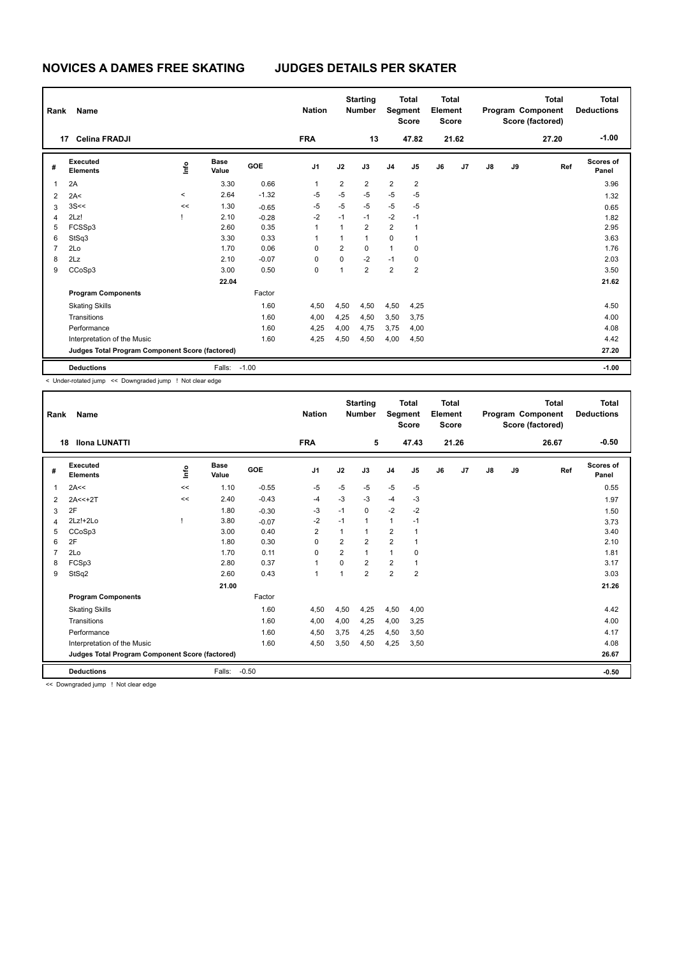| Rank           | Name                                            |         |                      |            | <b>Nation</b>  |                | <b>Starting</b><br><b>Number</b> | Segment        | <b>Total</b><br><b>Score</b> | <b>Total</b><br>Element<br><b>Score</b> |       |    |    | Total<br>Program Component<br>Score (factored) | <b>Total</b><br><b>Deductions</b> |
|----------------|-------------------------------------------------|---------|----------------------|------------|----------------|----------------|----------------------------------|----------------|------------------------------|-----------------------------------------|-------|----|----|------------------------------------------------|-----------------------------------|
|                | <b>Celina FRADJI</b><br>17                      |         |                      |            | <b>FRA</b>     |                | 13                               |                | 47.82                        |                                         | 21.62 |    |    | 27.20                                          | $-1.00$                           |
| #              | Executed<br><b>Elements</b>                     | lnfo    | <b>Base</b><br>Value | <b>GOE</b> | J <sub>1</sub> | J2             | J3                               | J <sub>4</sub> | J5                           | J6                                      | J7    | J8 | J9 | Ref                                            | Scores of<br>Panel                |
| $\overline{1}$ | 2A                                              |         | 3.30                 | 0.66       | 1              | $\overline{2}$ | $\overline{2}$                   | $\overline{2}$ | $\overline{2}$               |                                         |       |    |    |                                                | 3.96                              |
| 2              | 2A<                                             | $\,<\,$ | 2.64                 | $-1.32$    | -5             | $-5$           | $-5$                             | $-5$           | $-5$                         |                                         |       |    |    |                                                | 1.32                              |
| 3              | 3S<<                                            | <<      | 1.30                 | $-0.65$    | $-5$           | $-5$           | $-5$                             | $-5$           | $-5$                         |                                         |       |    |    |                                                | 0.65                              |
| $\overline{4}$ | 2Lz!                                            |         | 2.10                 | $-0.28$    | $-2$           | $-1$           | $-1$                             | $-2$           | $-1$                         |                                         |       |    |    |                                                | 1.82                              |
| 5              | FCSSp3                                          |         | 2.60                 | 0.35       | 1              | 1              | $\overline{2}$                   | $\overline{2}$ | 1                            |                                         |       |    |    |                                                | 2.95                              |
| 6              | StSq3                                           |         | 3.30                 | 0.33       | 1              | 1              | $\mathbf{1}$                     | 0              | 1                            |                                         |       |    |    |                                                | 3.63                              |
| $\overline{7}$ | 2Lo                                             |         | 1.70                 | 0.06       | 0              | $\overline{2}$ | $\mathbf 0$                      | $\mathbf{1}$   | 0                            |                                         |       |    |    |                                                | 1.76                              |
| 8              | 2Lz                                             |         | 2.10                 | $-0.07$    | 0              | 0              | $-2$                             | $-1$           | 0                            |                                         |       |    |    |                                                | 2.03                              |
| 9              | CCoSp3                                          |         | 3.00                 | 0.50       | $\mathbf 0$    | $\overline{1}$ | $\overline{2}$                   | $\overline{2}$ | $\overline{2}$               |                                         |       |    |    |                                                | 3.50                              |
|                |                                                 |         | 22.04                |            |                |                |                                  |                |                              |                                         |       |    |    |                                                | 21.62                             |
|                | <b>Program Components</b>                       |         |                      | Factor     |                |                |                                  |                |                              |                                         |       |    |    |                                                |                                   |
|                | <b>Skating Skills</b>                           |         |                      | 1.60       | 4,50           | 4,50           | 4,50                             | 4,50           | 4,25                         |                                         |       |    |    |                                                | 4.50                              |
|                | Transitions                                     |         |                      | 1.60       | 4,00           | 4,25           | 4,50                             | 3,50           | 3,75                         |                                         |       |    |    |                                                | 4.00                              |
|                | Performance                                     |         |                      | 1.60       | 4,25           | 4,00           | 4.75                             | 3,75           | 4.00                         |                                         |       |    |    |                                                | 4.08                              |
|                | Interpretation of the Music                     |         |                      | 1.60       | 4,25           | 4,50           | 4,50                             | 4,00           | 4,50                         |                                         |       |    |    |                                                | 4.42                              |
|                | Judges Total Program Component Score (factored) |         |                      |            |                |                |                                  |                |                              |                                         |       |    |    |                                                | 27.20                             |
|                | <b>Deductions</b>                               |         | Falls:               | $-1.00$    |                |                |                                  |                |                              |                                         |       |    |    |                                                | $-1.00$                           |

< Under-rotated jump << Downgraded jump ! Not clear edge

| Rank | Name                                            |      |                      |            | <b>Nation</b>  |                         | <b>Starting</b><br><b>Number</b> | Segment                 | <b>Total</b><br><b>Score</b> | <b>Total</b><br>Element<br><b>Score</b> |       |               |    | <b>Total</b><br>Program Component<br>Score (factored) | <b>Total</b><br><b>Deductions</b> |
|------|-------------------------------------------------|------|----------------------|------------|----------------|-------------------------|----------------------------------|-------------------------|------------------------------|-----------------------------------------|-------|---------------|----|-------------------------------------------------------|-----------------------------------|
| 18   | <b>Ilona LUNATTI</b>                            |      |                      |            | <b>FRA</b>     |                         | 5                                |                         | 47.43                        |                                         | 21.26 |               |    | 26.67                                                 | $-0.50$                           |
| #    | Executed<br><b>Elements</b>                     | lnfo | <b>Base</b><br>Value | <b>GOE</b> | J <sub>1</sub> | J2                      | J3                               | J <sub>4</sub>          | J5                           | J6                                      | J7    | $\mathsf{J}8$ | J9 | Ref                                                   | <b>Scores of</b><br>Panel         |
| 1    | 2A<<                                            | <<   | 1.10                 | $-0.55$    | $-5$           | $-5$                    | $-5$                             | $-5$                    | $-5$                         |                                         |       |               |    |                                                       | 0.55                              |
| 2    | $2A < +2T$                                      | <<   | 2.40                 | $-0.43$    | $-4$           | $-3$                    | -3                               | $-4$                    | $-3$                         |                                         |       |               |    |                                                       | 1.97                              |
| 3    | 2F                                              |      | 1.80                 | $-0.30$    | $-3$           | $-1$                    | $\Omega$                         | $-2$                    | $-2$                         |                                         |       |               |    |                                                       | 1.50                              |
| 4    | 2Lz!+2Lo                                        |      | 3.80                 | $-0.07$    | $-2$           | $-1$                    | $\mathbf{1}$                     | 1                       | $-1$                         |                                         |       |               |    |                                                       | 3.73                              |
| 5    | CCoSp3                                          |      | 3.00                 | 0.40       | $\overline{2}$ | 1                       | 1                                | $\overline{\mathbf{c}}$ | 1                            |                                         |       |               |    |                                                       | 3.40                              |
| 6    | 2F                                              |      | 1.80                 | 0.30       | $\Omega$       | $\overline{\mathbf{c}}$ | $\overline{\mathbf{c}}$          | $\overline{2}$          | 1                            |                                         |       |               |    |                                                       | 2.10                              |
| 7    | 2Lo                                             |      | 1.70                 | 0.11       | $\Omega$       | $\overline{2}$          | $\overline{1}$                   | 1                       | 0                            |                                         |       |               |    |                                                       | 1.81                              |
| 8    | FCSp3                                           |      | 2.80                 | 0.37       | $\mathbf{1}$   | $\Omega$                | $\overline{2}$                   | $\overline{2}$          | 1                            |                                         |       |               |    |                                                       | 3.17                              |
| 9    | StSq2                                           |      | 2.60                 | 0.43       | $\mathbf{1}$   | $\mathbf{1}$            | $\overline{2}$                   | $\overline{2}$          | $\overline{2}$               |                                         |       |               |    |                                                       | 3.03                              |
|      |                                                 |      | 21.00                |            |                |                         |                                  |                         |                              |                                         |       |               |    |                                                       | 21.26                             |
|      | <b>Program Components</b>                       |      |                      | Factor     |                |                         |                                  |                         |                              |                                         |       |               |    |                                                       |                                   |
|      | <b>Skating Skills</b>                           |      |                      | 1.60       | 4,50           | 4,50                    | 4,25                             | 4,50                    | 4,00                         |                                         |       |               |    |                                                       | 4.42                              |
|      | Transitions                                     |      |                      | 1.60       | 4,00           | 4,00                    | 4,25                             | 4,00                    | 3,25                         |                                         |       |               |    |                                                       | 4.00                              |
|      | Performance                                     |      |                      | 1.60       | 4,50           | 3,75                    | 4,25                             | 4,50                    | 3,50                         |                                         |       |               |    |                                                       | 4.17                              |
|      | Interpretation of the Music                     |      |                      | 1.60       | 4,50           | 3,50                    | 4,50                             | 4,25                    | 3,50                         |                                         |       |               |    |                                                       | 4.08                              |
|      | Judges Total Program Component Score (factored) |      |                      |            |                |                         |                                  |                         |                              |                                         |       |               |    |                                                       | 26.67                             |
|      | <b>Deductions</b>                               |      | Falls:               | $-0.50$    |                |                         |                                  |                         |                              |                                         |       |               |    |                                                       | $-0.50$                           |

<< Downgraded jump ! Not clear edge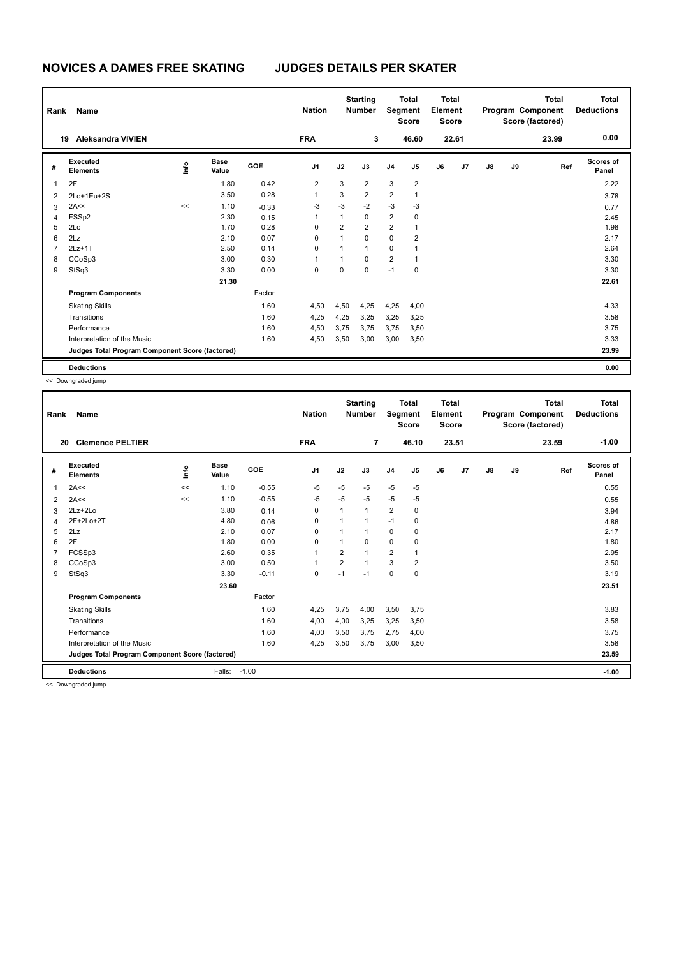| Rank           | Name                                            |                                  |                      |            | <b>Nation</b>  |                | <b>Starting</b><br><b>Number</b> |                | <b>Total</b><br>Segment<br><b>Score</b> | Total<br>Element<br><b>Score</b> |       |    |    | <b>Total</b><br>Program Component<br>Score (factored) | <b>Total</b><br><b>Deductions</b> |
|----------------|-------------------------------------------------|----------------------------------|----------------------|------------|----------------|----------------|----------------------------------|----------------|-----------------------------------------|----------------------------------|-------|----|----|-------------------------------------------------------|-----------------------------------|
|                | <b>Aleksandra VIVIEN</b><br>19                  |                                  |                      |            | <b>FRA</b>     |                | 3                                |                | 46.60                                   |                                  | 22.61 |    |    | 23.99                                                 | 0.00                              |
| #              | Executed<br><b>Elements</b>                     | $\mathop{\mathsf{Irr}}\nolimits$ | <b>Base</b><br>Value | <b>GOE</b> | J <sub>1</sub> | J2             | J3                               | J <sub>4</sub> | J <sub>5</sub>                          | J6                               | J7    | J8 | J9 | Ref                                                   | Scores of<br>Panel                |
| $\overline{1}$ | 2F                                              |                                  | 1.80                 | 0.42       | $\overline{2}$ | 3              | $\overline{2}$                   | 3              | $\overline{2}$                          |                                  |       |    |    |                                                       | 2.22                              |
| $\overline{2}$ | 2Lo+1Eu+2S                                      |                                  | 3.50                 | 0.28       | $\mathbf{1}$   | 3              | $\overline{2}$                   | $\overline{2}$ | $\mathbf{1}$                            |                                  |       |    |    |                                                       | 3.78                              |
| 3              | 2A<<                                            | <<                               | 1.10                 | $-0.33$    | $-3$           | $-3$           | $-2$                             | $-3$           | $-3$                                    |                                  |       |    |    |                                                       | 0.77                              |
| 4              | FSSp2                                           |                                  | 2.30                 | 0.15       | 1              | 1              | $\mathbf 0$                      | $\overline{2}$ | 0                                       |                                  |       |    |    |                                                       | 2.45                              |
| 5              | 2Lo                                             |                                  | 1.70                 | 0.28       | 0              | $\overline{2}$ | $\overline{2}$                   | $\overline{2}$ | $\mathbf{1}$                            |                                  |       |    |    |                                                       | 1.98                              |
| 6              | 2Lz                                             |                                  | 2.10                 | 0.07       | 0              | $\overline{1}$ | $\Omega$                         | 0              | $\overline{2}$                          |                                  |       |    |    |                                                       | 2.17                              |
| 7              | $2Lz+1T$                                        |                                  | 2.50                 | 0.14       | 0              | 1              | $\mathbf{1}$                     | 0              | 1                                       |                                  |       |    |    |                                                       | 2.64                              |
| 8              | CCoSp3                                          |                                  | 3.00                 | 0.30       | 1              | 1              | $\Omega$                         | $\overline{2}$ | $\mathbf{1}$                            |                                  |       |    |    |                                                       | 3.30                              |
| 9              | StSq3                                           |                                  | 3.30                 | 0.00       | 0              | 0              | $\mathbf 0$                      | $-1$           | 0                                       |                                  |       |    |    |                                                       | 3.30                              |
|                |                                                 |                                  | 21.30                |            |                |                |                                  |                |                                         |                                  |       |    |    |                                                       | 22.61                             |
|                | <b>Program Components</b>                       |                                  |                      | Factor     |                |                |                                  |                |                                         |                                  |       |    |    |                                                       |                                   |
|                | <b>Skating Skills</b>                           |                                  |                      | 1.60       | 4,50           | 4,50           | 4,25                             | 4,25           | 4,00                                    |                                  |       |    |    |                                                       | 4.33                              |
|                | Transitions                                     |                                  |                      | 1.60       | 4,25           | 4,25           | 3,25                             | 3,25           | 3,25                                    |                                  |       |    |    |                                                       | 3.58                              |
|                | Performance                                     |                                  |                      | 1.60       | 4,50           | 3,75           | 3.75                             | 3,75           | 3,50                                    |                                  |       |    |    |                                                       | 3.75                              |
|                | Interpretation of the Music                     |                                  |                      | 1.60       | 4,50           | 3,50           | 3,00                             | 3,00           | 3,50                                    |                                  |       |    |    |                                                       | 3.33                              |
|                | Judges Total Program Component Score (factored) |                                  |                      |            |                |                |                                  |                |                                         |                                  |       |    |    |                                                       | 23.99                             |
|                | <b>Deductions</b>                               |                                  |                      |            |                |                |                                  |                |                                         |                                  |       |    |    |                                                       | 0.00                              |

| Rank | Name                                            |     |                      |         | <b>Nation</b>  |                         | <b>Starting</b><br><b>Number</b> | Segment        | <b>Total</b><br><b>Score</b> | <b>Total</b><br>Element<br><b>Score</b> |       |               |    | <b>Total</b><br>Program Component<br>Score (factored) | <b>Total</b><br><b>Deductions</b> |
|------|-------------------------------------------------|-----|----------------------|---------|----------------|-------------------------|----------------------------------|----------------|------------------------------|-----------------------------------------|-------|---------------|----|-------------------------------------------------------|-----------------------------------|
| 20   | <b>Clemence PELTIER</b>                         |     |                      |         | <b>FRA</b>     |                         | $\overline{7}$                   |                | 46.10                        |                                         | 23.51 |               |    | 23.59                                                 | $-1.00$                           |
| #    | Executed<br><b>Elements</b>                     | ١in | <b>Base</b><br>Value | GOE     | J <sub>1</sub> | J2                      | J3                               | J <sub>4</sub> | J5                           | J6                                      | J7    | $\mathsf{J}8$ | J9 | Ref                                                   | Scores of<br>Panel                |
| 1    | 2A<<                                            | <<  | 1.10                 | $-0.55$ | $-5$           | $-5$                    | $-5$                             | $-5$           | $-5$                         |                                         |       |               |    |                                                       | 0.55                              |
| 2    | 2A<<                                            | <<  | 1.10                 | $-0.55$ | $-5$           | $-5$                    | $-5$                             | $-5$           | $-5$                         |                                         |       |               |    |                                                       | 0.55                              |
| 3    | $2Lz+2Lo$                                       |     | 3.80                 | 0.14    | 0              | 1                       | 1                                | $\overline{2}$ | 0                            |                                         |       |               |    |                                                       | 3.94                              |
| 4    | 2F+2Lo+2T                                       |     | 4.80                 | 0.06    | 0              | 1                       | 1                                | $-1$           | 0                            |                                         |       |               |    |                                                       | 4.86                              |
| 5    | 2Lz                                             |     | 2.10                 | 0.07    | 0              |                         | 1                                | 0              | 0                            |                                         |       |               |    |                                                       | 2.17                              |
| 6    | 2F                                              |     | 1.80                 | 0.00    | 0              |                         | 0                                | $\mathbf 0$    | 0                            |                                         |       |               |    |                                                       | 1.80                              |
| 7    | FCSSp3                                          |     | 2.60                 | 0.35    | 1              | $\overline{\mathbf{c}}$ | 1                                | $\overline{2}$ | 1                            |                                         |       |               |    |                                                       | 2.95                              |
| 8    | CCoSp3                                          |     | 3.00                 | 0.50    | 1              | $\overline{2}$          | 1                                | 3              | $\overline{\mathbf{c}}$      |                                         |       |               |    |                                                       | 3.50                              |
| 9    | StSq3                                           |     | 3.30                 | $-0.11$ | 0              | $-1$                    | $-1$                             | $\mathbf 0$    | $\mathbf 0$                  |                                         |       |               |    |                                                       | 3.19                              |
|      |                                                 |     | 23.60                |         |                |                         |                                  |                |                              |                                         |       |               |    |                                                       | 23.51                             |
|      | <b>Program Components</b>                       |     |                      | Factor  |                |                         |                                  |                |                              |                                         |       |               |    |                                                       |                                   |
|      | <b>Skating Skills</b>                           |     |                      | 1.60    | 4,25           | 3,75                    | 4,00                             | 3,50           | 3,75                         |                                         |       |               |    |                                                       | 3.83                              |
|      | Transitions                                     |     |                      | 1.60    | 4,00           | 4,00                    | 3,25                             | 3,25           | 3,50                         |                                         |       |               |    |                                                       | 3.58                              |
|      | Performance                                     |     |                      | 1.60    | 4,00           | 3,50                    | 3,75                             | 2,75           | 4,00                         |                                         |       |               |    |                                                       | 3.75                              |
|      | Interpretation of the Music                     |     |                      | 1.60    | 4,25           | 3,50                    | 3,75                             | 3,00           | 3,50                         |                                         |       |               |    |                                                       | 3.58                              |
|      | Judges Total Program Component Score (factored) |     |                      |         |                |                         |                                  |                |                              |                                         |       |               |    |                                                       | 23.59                             |
|      | <b>Deductions</b>                               |     | Falls:               | $-1.00$ |                |                         |                                  |                |                              |                                         |       |               |    |                                                       | $-1.00$                           |
|      | and a Property and a state of the same          |     |                      |         |                |                         |                                  |                |                              |                                         |       |               |    |                                                       |                                   |

<< Downgraded jump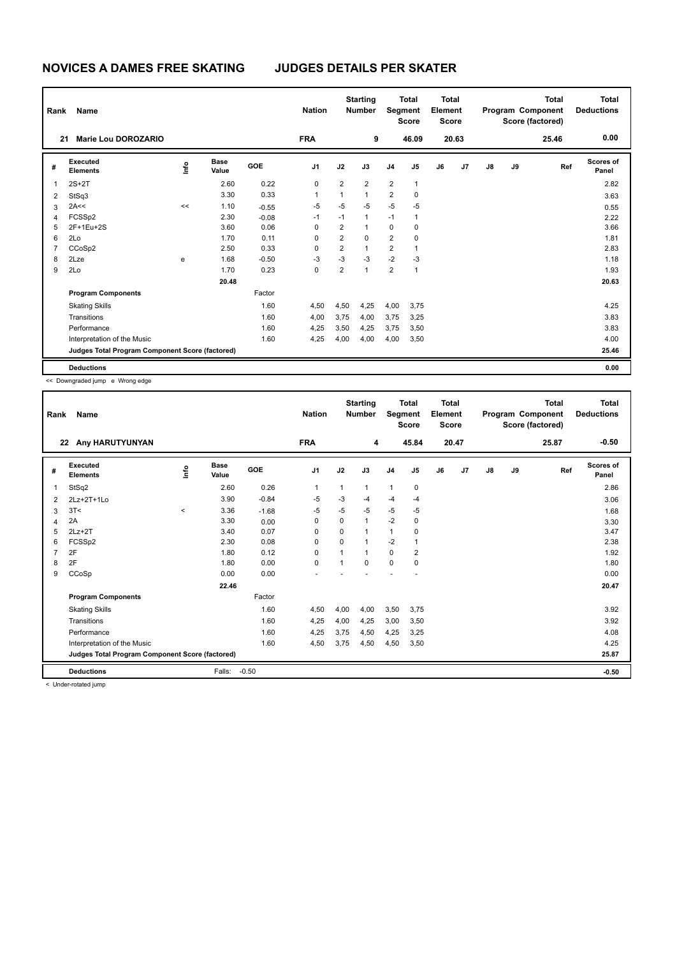| Rank           | Name                                            |      |                      |         | <b>Nation</b>  |                         | <b>Starting</b><br><b>Number</b> | Segment        | <b>Total</b><br><b>Score</b> | Total<br>Element<br><b>Score</b> |       |    |    | Total<br>Program Component<br>Score (factored) | <b>Total</b><br><b>Deductions</b> |
|----------------|-------------------------------------------------|------|----------------------|---------|----------------|-------------------------|----------------------------------|----------------|------------------------------|----------------------------------|-------|----|----|------------------------------------------------|-----------------------------------|
| 21             | Marie Lou DOROZARIO                             |      |                      |         | <b>FRA</b>     |                         | 9                                |                | 46.09                        |                                  | 20.63 |    |    | 25.46                                          | 0.00                              |
| #              | <b>Executed</b><br><b>Elements</b>              | lnfo | <b>Base</b><br>Value | GOE     | J <sub>1</sub> | J2                      | J3                               | J <sub>4</sub> | J <sub>5</sub>               | J6                               | J7    | J8 | J9 | Ref                                            | Scores of<br>Panel                |
| 1              | $2S+2T$                                         |      | 2.60                 | 0.22    | 0              | $\overline{2}$          | $\overline{2}$                   | $\overline{2}$ | $\mathbf{1}$                 |                                  |       |    |    |                                                | 2.82                              |
| 2              | StSq3                                           |      | 3.30                 | 0.33    | 1              | $\mathbf{1}$            | $\mathbf{1}$                     | $\overline{2}$ | 0                            |                                  |       |    |    |                                                | 3.63                              |
| 3              | 2A<<                                            | <<   | 1.10                 | $-0.55$ | $-5$           | $-5$                    | $-5$                             | $-5$           | $-5$                         |                                  |       |    |    |                                                | 0.55                              |
| 4              | FCSSp2                                          |      | 2.30                 | $-0.08$ | $-1$           | $-1$                    | $\mathbf{1}$                     | $-1$           | 1                            |                                  |       |    |    |                                                | 2.22                              |
| 5              | 2F+1Eu+2S                                       |      | 3.60                 | 0.06    | 0              | $\overline{2}$          |                                  | $\mathbf 0$    | 0                            |                                  |       |    |    |                                                | 3.66                              |
| 6              | 2Lo                                             |      | 1.70                 | 0.11    | 0              | $\overline{2}$          | $\mathbf 0$                      | $\overline{2}$ | 0                            |                                  |       |    |    |                                                | 1.81                              |
| $\overline{7}$ | CCoSp2                                          |      | 2.50                 | 0.33    | 0              | $\overline{2}$          | $\mathbf{1}$                     | 2              | 1                            |                                  |       |    |    |                                                | 2.83                              |
| 8              | 2Lze                                            | e    | 1.68                 | $-0.50$ | $-3$           | $-3$                    | $-3$                             | $-2$           | $-3$                         |                                  |       |    |    |                                                | 1.18                              |
| 9              | 2Lo                                             |      | 1.70                 | 0.23    | 0              | $\overline{\mathbf{c}}$ | 1                                | $\overline{2}$ | 1                            |                                  |       |    |    |                                                | 1.93                              |
|                |                                                 |      | 20.48                |         |                |                         |                                  |                |                              |                                  |       |    |    |                                                | 20.63                             |
|                | <b>Program Components</b>                       |      |                      | Factor  |                |                         |                                  |                |                              |                                  |       |    |    |                                                |                                   |
|                | <b>Skating Skills</b>                           |      |                      | 1.60    | 4,50           | 4,50                    | 4,25                             | 4,00           | 3,75                         |                                  |       |    |    |                                                | 4.25                              |
|                | Transitions                                     |      |                      | 1.60    | 4,00           | 3,75                    | 4,00                             | 3,75           | 3,25                         |                                  |       |    |    |                                                | 3.83                              |
|                | Performance                                     |      |                      | 1.60    | 4,25           | 3,50                    | 4,25                             | 3,75           | 3,50                         |                                  |       |    |    |                                                | 3.83                              |
|                | Interpretation of the Music                     |      |                      | 1.60    | 4,25           | 4,00                    | 4,00                             | 4,00           | 3,50                         |                                  |       |    |    |                                                | 4.00                              |
|                | Judges Total Program Component Score (factored) |      |                      |         |                |                         |                                  |                |                              |                                  |       |    |    |                                                | 25.46                             |
|                | <b>Deductions</b>                               |      |                      |         |                |                         |                                  |                |                              |                                  |       |    |    |                                                | 0.00                              |

<< Downgraded jump e Wrong edge

| Rank           | <b>Name</b>                                     |         |                      |         | <b>Nation</b>  |          | <b>Starting</b><br><b>Number</b> | Segment        | <b>Total</b><br><b>Score</b> | <b>Total</b><br>Element<br><b>Score</b> |       |               |    | <b>Total</b><br>Program Component<br>Score (factored) | <b>Total</b><br><b>Deductions</b> |
|----------------|-------------------------------------------------|---------|----------------------|---------|----------------|----------|----------------------------------|----------------|------------------------------|-----------------------------------------|-------|---------------|----|-------------------------------------------------------|-----------------------------------|
| 22             | Any HARUTYUNYAN                                 |         |                      |         | <b>FRA</b>     |          | 4                                |                | 45.84                        |                                         | 20.47 |               |    | 25.87                                                 | $-0.50$                           |
| #              | Executed<br><b>Elements</b>                     | ١nf٥    | <b>Base</b><br>Value | GOE     | J <sub>1</sub> | J2       | J3                               | J <sub>4</sub> | J5                           | J6                                      | J7    | $\mathsf{J}8$ | J9 | Ref                                                   | <b>Scores of</b><br>Panel         |
| 1              | StSq2                                           |         | 2.60                 | 0.26    | 1              | 1        | $\mathbf 1$                      | $\mathbf{1}$   | 0                            |                                         |       |               |    |                                                       | 2.86                              |
| 2              | 2Lz+2T+1Lo                                      |         | 3.90                 | $-0.84$ | -5             | $-3$     | $-4$                             | $-4$           | $-4$                         |                                         |       |               |    |                                                       | 3.06                              |
| 3              | 3T<                                             | $\prec$ | 3.36                 | $-1.68$ | $-5$           | $-5$     | $-5$                             | -5             | $-5$                         |                                         |       |               |    |                                                       | 1.68                              |
| 4              | 2A                                              |         | 3.30                 | 0.00    | $\Omega$       | $\Omega$ | $\mathbf{1}$                     | $-2$           | 0                            |                                         |       |               |    |                                                       | 3.30                              |
| 5              | $2Lz+2T$                                        |         | 3.40                 | 0.07    | 0              | $\Omega$ | $\mathbf 1$                      | 1              | 0                            |                                         |       |               |    |                                                       | 3.47                              |
| 6              | FCSSp2                                          |         | 2.30                 | 0.08    | $\Omega$       | $\Omega$ |                                  | $-2$           | 1                            |                                         |       |               |    |                                                       | 2.38                              |
| $\overline{7}$ | 2F                                              |         | 1.80                 | 0.12    | $\Omega$       | 1        | 1                                | $\Omega$       | $\overline{2}$               |                                         |       |               |    |                                                       | 1.92                              |
| 8              | 2F                                              |         | 1.80                 | 0.00    | 0              | 1        | 0                                | $\mathbf 0$    | 0                            |                                         |       |               |    |                                                       | 1.80                              |
| 9              | CCoSp                                           |         | 0.00                 | 0.00    |                |          |                                  |                |                              |                                         |       |               |    |                                                       | 0.00                              |
|                |                                                 |         | 22.46                |         |                |          |                                  |                |                              |                                         |       |               |    |                                                       | 20.47                             |
|                | <b>Program Components</b>                       |         |                      | Factor  |                |          |                                  |                |                              |                                         |       |               |    |                                                       |                                   |
|                | <b>Skating Skills</b>                           |         |                      | 1.60    | 4,50           | 4,00     | 4,00                             | 3,50           | 3,75                         |                                         |       |               |    |                                                       | 3.92                              |
|                | Transitions                                     |         |                      | 1.60    | 4,25           | 4,00     | 4,25                             | 3,00           | 3,50                         |                                         |       |               |    |                                                       | 3.92                              |
|                | Performance                                     |         |                      | 1.60    | 4,25           | 3,75     | 4,50                             | 4,25           | 3,25                         |                                         |       |               |    |                                                       | 4.08                              |
|                | Interpretation of the Music                     |         |                      | 1.60    | 4,50           | 3,75     | 4,50                             | 4,50           | 3,50                         |                                         |       |               |    |                                                       | 4.25                              |
|                | Judges Total Program Component Score (factored) |         |                      |         |                |          |                                  |                |                              |                                         |       |               |    |                                                       | 25.87                             |
|                | <b>Deductions</b>                               |         | Falls:               | $-0.50$ |                |          |                                  |                |                              |                                         |       |               |    |                                                       | $-0.50$                           |

< Under-rotated jump